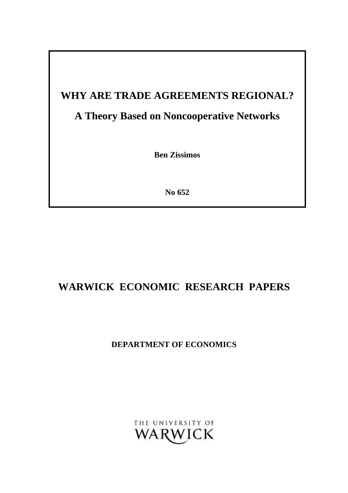# **WHY ARE TRADE AGREEMENTS REGIONAL?**

# **A Theory Based on Noncooperative Networks**

**Ben Zissimos**

**No 652**

# **WARWICK ECONOMIC RESEARCH PAPERS**

**DEPARTMENT OF ECONOMICS**

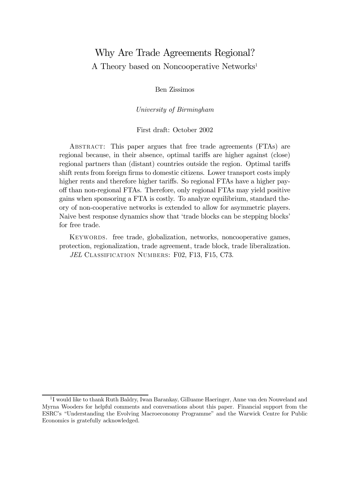# Why Are Trade Agreements Regional? A Theory based on Noncooperative Networks<sup>1</sup>

Ben Zissimos

University of Birmingham

#### First draft: October 2002

Abstract: This paper argues that free trade agreements (FTAs) are regional because, in their absence, optimal tariffs are higher against (close) regional partners than (distant) countries outside the region. Optimal tariffs shift rents from foreign firms to domestic citizens. Lower transport costs imply higher rents and therefore higher tariffs. So regional FTAs have a higher payoff than non-regional FTAs. Therefore, only regional FTAs may yield positive gains when sponsoring a FTA is costly. To analyze equilibrium, standard theory of non-cooperative networks is extended to allow for asymmetric players. Naive best response dynamics show that 'trade blocks can be stepping blocks' for free trade.

Keywords. free trade, globalization, networks, noncooperative games, protection, regionalization, trade agreement, trade block, trade liberalization. JEL CLASSIFICATION NUMBERS: F02, F13, F15, C73.

<sup>&</sup>lt;sup>1</sup>I would like to thank Ruth Baldry, Iwan Barankay, Gilluame Haeringer, Anne van den Nouweland and Myrna Wooders for helpful comments and conversations about this paper. Financial support from the ESRC's "Understanding the Evolving Macroeconomy Programme" and the Warwick Centre for Public Economics is gratefully acknowledged.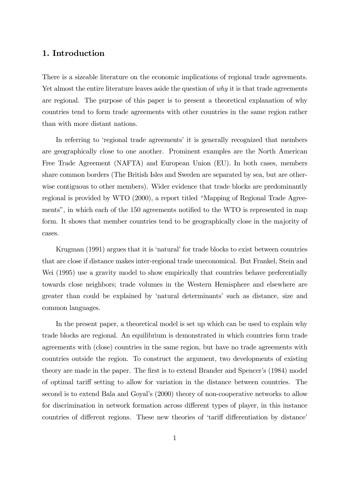## 1. Introduction

There is a sizeable literature on the economic implications of regional trade agreements. Yet almost the entire literature leaves aside the question of why it is that trade agreements are regional. The purpose of this paper is to present a theoretical explanation of why countries tend to form trade agreements with other countries in the same region rather than with more distant nations.

In referring to 'regional trade agreements' it is generally recognized that members are geographically close to one another. Prominent examples are the North American Free Trade Agreement (NAFTA) and European Union (EU). In both cases, members share common borders (The British Isles and Sweden are separated by sea, but are otherwise contiguous to other members). Wider evidence that trade blocks are predominantly regional is provided by WTO (2000), a report titled "Mapping of Regional Trade Agreements", in which each of the 150 agreements notified to the WTO is represented in map form. It shows that member countries tend to be geographically close in the majority of cases.

Krugman (1991) argues that it is 'natural' for trade blocks to exist between countries that are close if distance makes inter-regional trade uneconomical. But Frankel, Stein and Wei (1995) use a gravity model to show empirically that countries behave preferentially towards close neighbors; trade volumes in the Western Hemisphere and elsewhere are greater than could be explained by 'natural determinants' such as distance, size and common languages.

In the present paper, a theoretical model is set up which can be used to explain why trade blocks are regional. An equilibrium is demonstrated in which countries form trade agreements with (close) countries in the same region, but have no trade agreements with countries outside the region. To construct the argument, two developments of existing theory are made in the paper. The first is to extend Brander and Spencer's (1984) model of optimal tariff setting to allow for variation in the distance between countries. The second is to extend Bala and Goyal's (2000) theory of non-cooperative networks to allow for discrimination in network formation across different types of player, in this instance countries of different regions. These new theories of 'tariff differentiation by distance'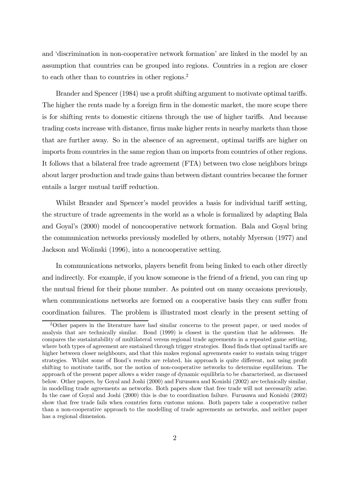and 'discrimination in non-cooperative network formation' are linked in the model by an assumption that countries can be grouped into regions. Countries in a region are closer to each other than to countries in other regions.<sup>2</sup>

Brander and Spencer (1984) use a profit shifting argument to motivate optimal tariffs. The higher the rents made by a foreign firm in the domestic market, the more scope there is for shifting rents to domestic citizens through the use of higher tariffs. And because trading costs increase with distance, firms make higher rents in nearby markets than those that are further away. So in the absence of an agreement, optimal tariffs are higher on imports from countries in the same region than on imports from countries of other regions. It follows that a bilateral free trade agreement (FTA) between two close neighbors brings about larger production and trade gains than between distant countries because the former entails a larger mutual tariff reduction.

Whilst Brander and Spencer's model provides a basis for individual tariff setting, the structure of trade agreements in the world as a whole is formalized by adapting Bala and Goyal's (2000) model of noncooperative network formation. Bala and Goyal bring the communication networks previously modelled by others, notably Myerson (1977) and Jackson and Wolinski (1996), into a noncooperative setting.

In communications networks, players benefit from being linked to each other directly and indirectly. For example, if you know someone is the friend of a friend, you can ring up the mutual friend for their phone number. As pointed out on many occasions previously, when communications networks are formed on a cooperative basis they can suffer from coordination failures. The problem is illustrated most clearly in the present setting of

<sup>2</sup>Other papers in the literature have had similar concerns to the present paper, or used modes of analysis that are technically similar. Bond (1999) is closest in the question that he addresses. He compares the sustaintability of multilateral versus regional trade agreements in a repeated game setting, where both types of agreement are sustained through trigger strategies. Bond finds that optimal tariffs are higher between closer neighbours, and that this makes regional agreements easier to sustain using trigger strategies. Whilst some of Bond's results are related, his approach is quite different, not using profit shifting to motivate tariffs, nor the notion of non-cooperative networks to determine equilibrium. The approach of the present paper allows a wider range of dynamic equilibria to be characterised, as discussed below. Other papers, by Goyal and Joshi (2000) and Furusawa and Konishi (2002) are technically similar, in modelling trade agreements as networks. Both papers show that free trade will not necessarily arise. In the case of Goyal and Joshi (2000) this is due to coordination failure. Furusawa and Konishi (2002) show that free trade fails when countries form customs unions. Both papers take a cooperative rather than a non-cooperative approach to the modelling of trade agreements as networks, and neither paper has a regional dimension.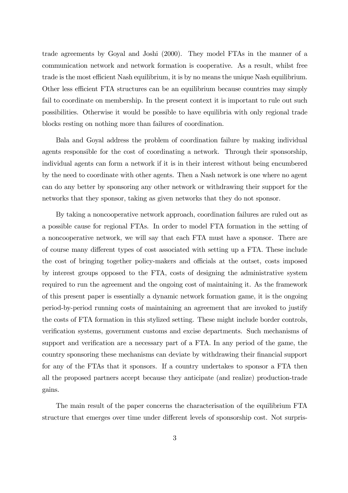trade agreements by Goyal and Joshi (2000). They model FTAs in the manner of a communication network and network formation is cooperative. As a result, whilst free trade is the most efficient Nash equilibrium, it is by no means the unique Nash equilibrium. Other less efficient FTA structures can be an equilibrium because countries may simply fail to coordinate on membership. In the present context it is important to rule out such possibilities. Otherwise it would be possible to have equilibria with only regional trade blocks resting on nothing more than failures of coordination.

Bala and Goyal address the problem of coordination failure by making individual agents responsible for the cost of coordinating a network. Through their sponsorship, individual agents can form a network if it is in their interest without being encumbered by the need to coordinate with other agents. Then a Nash network is one where no agent can do any better by sponsoring any other network or withdrawing their support for the networks that they sponsor, taking as given networks that they do not sponsor.

By taking a noncooperative network approach, coordination failures are ruled out as a possible cause for regional FTAs. In order to model FTA formation in the setting of a noncooperative network, we will say that each FTA must have a sponsor. There are of course many different types of cost associated with setting up a FTA. These include the cost of bringing together policy-makers and officials at the outset, costs imposed by interest groups opposed to the FTA, costs of designing the administrative system required to run the agreement and the ongoing cost of maintaining it. As the framework of this present paper is essentially a dynamic network formation game, it is the ongoing period-by-period running costs of maintaining an agreement that are invoked to justify the costs of FTA formation in this stylized setting. These might include border controls, verification systems, government customs and excise departments. Such mechanisms of support and verification are a necessary part of a FTA. In any period of the game, the country sponsoring these mechanisms can deviate by withdrawing their financial support for any of the FTAs that it sponsors. If a country undertakes to sponsor a FTA then all the proposed partners accept because they anticipate (and realize) production-trade gains.

The main result of the paper concerns the characterisation of the equilibrium FTA structure that emerges over time under different levels of sponsorship cost. Not surpris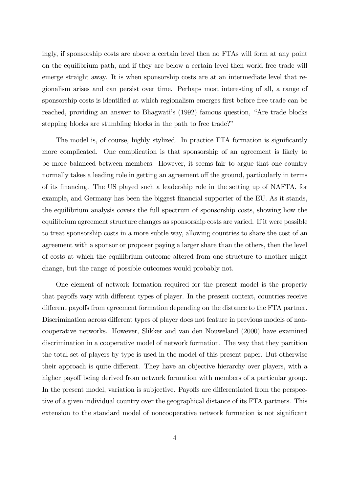ingly, if sponsorship costs are above a certain level then no FTAs will form at any point on the equilibrium path, and if they are below a certain level then world free trade will emerge straight away. It is when sponsorship costs are at an intermediate level that regionalism arises and can persist over time. Perhaps most interesting of all, a range of sponsorship costs is identified at which regionalism emerges first before free trade can be reached, providing an answer to Bhagwati's (1992) famous question, "Are trade blocks stepping blocks are stumbling blocks in the path to free trade?"

The model is, of course, highly stylized. In practice FTA formation is significantly more complicated. One complication is that sponsorship of an agreement is likely to be more balanced between members. However, it seems fair to argue that one country normally takes a leading role in getting an agreement off the ground, particularly in terms of its financing. The US played such a leadership role in the setting up of NAFTA, for example, and Germany has been the biggest financial supporter of the EU. As it stands, the equilibrium analysis covers the full spectrum of sponsorship costs, showing how the equilibrium agreement structure changes as sponsorship costs are varied. If it were possible to treat sponsorship costs in a more subtle way, allowing countries to share the cost of an agreement with a sponsor or proposer paying a larger share than the others, then the level of costs at which the equilibrium outcome altered from one structure to another might change, but the range of possible outcomes would probably not.

One element of network formation required for the present model is the property that payoffs vary with different types of player. In the present context, countries receive different payoffs from agreement formation depending on the distance to the FTA partner. Discrimination across different types of player does not feature in previous models of noncooperative networks. However, Slikker and van den Nouweland (2000) have examined discrimination in a cooperative model of network formation. The way that they partition the total set of players by type is used in the model of this present paper. But otherwise their approach is quite different. They have an objective hierarchy over players, with a higher payoff being derived from network formation with members of a particular group. In the present model, variation is subjective. Payoffs are differentiated from the perspective of a given individual country over the geographical distance of its FTA partners. This extension to the standard model of noncooperative network formation is not significant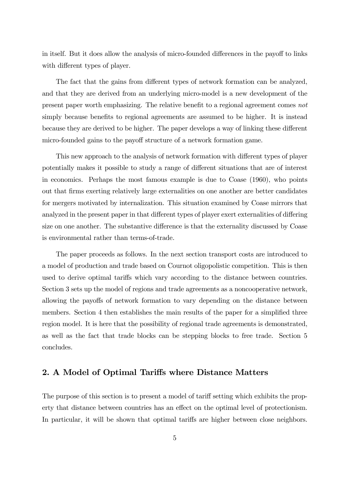in itself. But it does allow the analysis of micro-founded differences in the payoff to links with different types of player.

The fact that the gains from different types of network formation can be analyzed, and that they are derived from an underlying micro-model is a new development of the present paper worth emphasizing. The relative benefit to a regional agreement comes not simply because benefits to regional agreements are assumed to be higher. It is instead because they are derived to be higher. The paper develops a way of linking these different micro-founded gains to the payoff structure of a network formation game.

This new approach to the analysis of network formation with different types of player potentially makes it possible to study a range of different situations that are of interest in economics. Perhaps the most famous example is due to Coase (1960), who points out that firms exerting relatively large externalities on one another are better candidates for mergers motivated by internalization. This situation examined by Coase mirrors that analyzed in the present paper in that different types of player exert externalities of differing size on one another. The substantive difference is that the externality discussed by Coase is environmental rather than terms-of-trade.

The paper proceeds as follows. In the next section transport costs are introduced to a model of production and trade based on Cournot oligopolistic competition. This is then used to derive optimal tariffs which vary according to the distance between countries. Section 3 sets up the model of regions and trade agreements as a noncooperative network, allowing the payoffs of network formation to vary depending on the distance between members. Section 4 then establishes the main results of the paper for a simplified three region model. It is here that the possibility of regional trade agreements is demonstrated, as well as the fact that trade blocks can be stepping blocks to free trade. Section 5 concludes.

# 2. A Model of Optimal Tariffs where Distance Matters

The purpose of this section is to present a model of tariff setting which exhibits the property that distance between countries has an effect on the optimal level of protectionism. In particular, it will be shown that optimal tariffs are higher between close neighbors.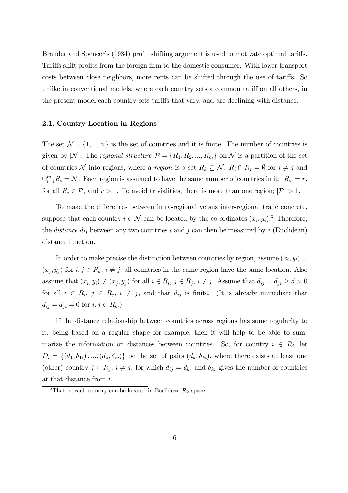Brander and Spencer's (1984) profit shifting argument is used to motivate optimal tariffs. Tariffs shift profits from the foreign firm to the domestic consumer. With lower transport costs between close neighbors, more rents can be shifted through the use of tariffs. So unlike in conventional models, where each country sets a common tariff on all others, in the present model each country sets tariffs that vary, and are declining with distance.

#### 2.1. Country Location in Regions

The set  $\mathcal{N} = \{1, ..., n\}$  is the set of countries and it is finite. The number of countries is given by |N|. The regional structure  $\mathcal{P} = \{R_1, R_2, ..., R_m\}$  on N is a partition of the set of countries N into regions, where a region is a set  $R_k \subseteq \mathcal{N}$ :  $R_i \cap R_j = \emptyset$  for  $i \neq j$  and  $\bigcup_{i=1}^{m} R_i = \mathcal{N}$ . Each region is assumed to have the same number of countries in it;  $|R_i| = r$ , for all  $R_i \in \mathcal{P}$ , and  $r > 1$ . To avoid trivialities, there is more than one region;  $|\mathcal{P}| > 1$ .

To make the differences between intra-regional versus inter-regional trade concrete, suppose that each country  $i \in \mathcal{N}$  can be located by the co-ordinates  $(x_i, y_i)$ .<sup>3</sup> Therefore, the *distance*  $d_{ij}$  between any two countries i and j can then be measured by a (Euclidean) distance function.

In order to make precise the distinction between countries by region, assume  $(x_i, y_i) =$  $(x_j, y_j)$  for  $i, j \in R_k$ ,  $i \neq j$ ; all countries in the same region have the same location. Also assume that  $(x_i, y_i) \neq (x_j, y_j)$  for all  $i \in R_i$ ,  $j \in R_j$ ,  $i \neq j$ . Assume that  $d_{ij} = d_{ji} \geq d > 0$ for all  $i \in R_i$ ,  $j \in R_j$ ,  $i \neq j$ , and that  $d_{ij}$  is finite. (It is already immediate that  $d_{ij} = d_{ji} = 0$  for  $i, j \in R_k$ .)

If the distance relationship between countries across regions has some regularity to it, being based on a regular shape for example, then it will help to be able to summarize the information on distances between countries. So, for country  $i \in R_i$ , let  $D_i = \{(d_1, \delta_{1i}), ..., (d_z, \delta_{zi})\}$  be the set of pairs  $(d_k, \delta_{ki})$ , where there exists at least one (other) country  $j \in R_j$ ,  $i \neq j$ , for which  $d_{ij} = d_k$ , and  $\delta_{ki}$  gives the number of countries at that distance from i.

<sup>&</sup>lt;sup>3</sup>That is, each country can be located in Euclidean  $\mathcal{R}_2$ -space.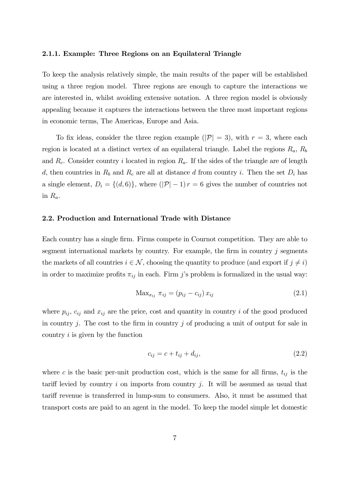#### 2.1.1. Example: Three Regions on an Equilateral Triangle

To keep the analysis relatively simple, the main results of the paper will be established using a three region model. Three regions are enough to capture the interactions we are interested in, whilst avoiding extensive notation. A three region model is obviously appealing because it captures the interactions between the three most important regions in economic terms, The Americas, Europe and Asia.

To fix ideas, consider the three region example  $(|\mathcal{P}| = 3)$ , with  $r = 3$ , where each region is located at a distinct vertex of an equilateral triangle. Label the regions  $R_a$ ,  $R_b$ and  $R_c$ . Consider country i located in region  $R_a$ . If the sides of the triangle are of length d, then countries in  $R_b$  and  $R_c$  are all at distance d from country i. Then the set  $D_i$  has a single element,  $D_i = \{(d, 6)\}\$ , where  $(|\mathcal{P}| - 1)r = 6$  gives the number of countries not in  $R_a$ .

#### 2.2. Production and International Trade with Distance

Each country has a single firm. Firms compete in Cournot competition. They are able to segment international markets by country. For example, the firm in country j segments the markets of all countries  $i \in \mathcal{N}$ , choosing the quantity to produce (and export if  $j \neq i$ ) in order to maximize profits  $\pi_{ij}$  in each. Firm j's problem is formalized in the usual way:

$$
Max_{x_{ij}} \pi_{ij} = (p_{ij} - c_{ij}) x_{ij}
$$
 (2.1)

where  $p_{ij}$ ,  $c_{ij}$  and  $x_{ij}$  are the price, cost and quantity in country i of the good produced in country  $j$ . The cost to the firm in country  $j$  of producing a unit of output for sale in country i is given by the function

$$
c_{ij} = c + t_{ij} + d_{ij},\tag{2.2}
$$

where c is the basic per-unit production cost, which is the same for all firms,  $t_{ij}$  is the tariff levied by country i on imports from country j. It will be assumed as usual that tariff revenue is transferred in lump-sum to consumers. Also, it must be assumed that transport costs are paid to an agent in the model. To keep the model simple let domestic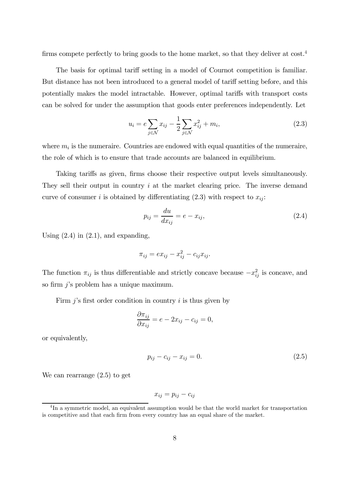firms compete perfectly to bring goods to the home market, so that they deliver at  $cost^4$ .

The basis for optimal tariff setting in a model of Cournot competition is familiar. But distance has not been introduced to a general model of tariff setting before, and this potentially makes the model intractable. However, optimal tariffs with transport costs can be solved for under the assumption that goods enter preferences independently. Let

$$
u_i = e \sum_{j \in \mathcal{N}} x_{ij} - \frac{1}{2} \sum_{j \in \mathcal{N}} x_{ij}^2 + m_i,
$$
\n(2.3)

where  $m_i$  is the numeraire. Countries are endowed with equal quantities of the numeraire, the role of which is to ensure that trade accounts are balanced in equilibrium.

Taking tariffs as given, firms choose their respective output levels simultaneously. They sell their output in country i at the market clearing price. The inverse demand curve of consumer i is obtained by differentiating  $(2.3)$  with respect to  $x_{ij}$ :

$$
p_{ij} = \frac{du}{dx_{ij}} = e - x_{ij},\tag{2.4}
$$

Using  $(2.4)$  in  $(2.1)$ , and expanding,

$$
\pi_{ij} = ex_{ij} - x_{ij}^2 - c_{ij}x_{ij}.
$$

The function  $\pi_{ij}$  is thus differentiable and strictly concave because  $-x_{ij}^2$  is concave, and so firm j's problem has a unique maximum.

Firm  $j$ 's first order condition in country  $i$  is thus given by

$$
\frac{\partial \pi_{ij}}{\partial x_{ij}} = e - 2x_{ij} - c_{ij} = 0,
$$

or equivalently,

$$
p_{ij} - c_{ij} - x_{ij} = 0.
$$
 (2.5)

We can rearrange (2.5) to get

$$
x_{ij} = p_{ij} - c_{ij}
$$

<sup>&</sup>lt;sup>4</sup>In a symmetric model, an equivalent assumption would be that the world market for transportation is competitive and that each firm from every country has an equal share of the market.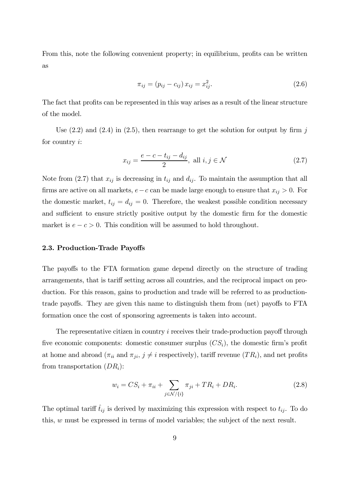From this, note the following convenient property; in equilibrium, profits can be written as

$$
\pi_{ij} = (p_{ij} - c_{ij}) x_{ij} = x_{ij}^2.
$$
\n(2.6)

The fact that profits can be represented in this way arises as a result of the linear structure of the model.

Use  $(2.2)$  and  $(2.4)$  in  $(2.5)$ , then rearrange to get the solution for output by firm j for country i:

$$
x_{ij} = \frac{e - c - t_{ij} - d_{ij}}{2}, \text{ all } i, j \in \mathcal{N}
$$
 (2.7)

Note from  $(2.7)$  that  $x_{ij}$  is decreasing in  $t_{ij}$  and  $d_{ij}$ . To maintain the assumption that all firms are active on all markets,  $e-c$  can be made large enough to ensure that  $x_{ij} > 0$ . For the domestic market,  $t_{ij} = d_{ij} = 0$ . Therefore, the weakest possible condition necessary and sufficient to ensure strictly positive output by the domestic firm for the domestic market is  $e - c > 0$ . This condition will be assumed to hold throughout.

#### 2.3. Production-Trade Payoffs

The payoffs to the FTA formation game depend directly on the structure of trading arrangements, that is tariff setting across all countries, and the reciprocal impact on production. For this reason, gains to production and trade will be referred to as productiontrade payoffs. They are given this name to distinguish them from (net) payoffs to FTA formation once the cost of sponsoring agreements is taken into account.

The representative citizen in country  $i$  receives their trade-production payoff through five economic components: domestic consumer surplus  $(CS_i)$ , the domestic firm's profit at home and abroad ( $\pi_{ii}$  and  $\pi_{ji}$ ,  $j \neq i$  respectively), tariff revenue (TR<sub>i</sub>), and net profits from transportation  $(DR_i)$ :

$$
w_i = CS_i + \pi_{ii} + \sum_{j \in \mathcal{N}/\{i\}} \pi_{ji} + TR_i + DR_i.
$$
 (2.8)

The optimal tariff  $\hat{t}_{ij}$  is derived by maximizing this expression with respect to  $t_{ij}$ . To do this, w must be expressed in terms of model variables; the subject of the next result.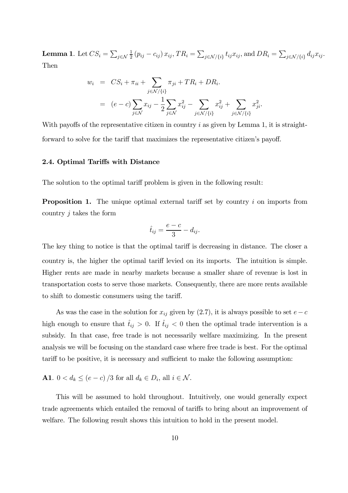**Lemma 1.** Let  $CS_i = \sum_{j \in \mathcal{N}}$  $\frac{1}{2} (p_{ij} - c_{ij}) x_{ij}, TR_i = \sum_{j \in \mathcal{N}/\{i\}} t_{ij} x_{ij},$  and  $DR_i = \sum_{j \in \mathcal{N}/\{i\}} d_{ij} x_{ij}$ . Then

$$
w_i = CS_i + \pi_{ii} + \sum_{j \in \mathcal{N}/\{i\}} \pi_{ji} + TR_i + DR_i.
$$
  
= 
$$
(e - c) \sum_{j \in \mathcal{N}} x_{ij} - \frac{1}{2} \sum_{j \in \mathcal{N}} x_{ij}^2 - \sum_{j \in \mathcal{N}/\{i\}} x_{ij}^2 + \sum_{j \in \mathcal{N}/\{i\}} x_{ji}^2.
$$

With payoffs of the representative citizen in country i as given by Lemma 1, it is straightforward to solve for the tariff that maximizes the representative citizen's payoff.

#### 2.4. Optimal Tariffs with Distance

The solution to the optimal tariff problem is given in the following result:

**Proposition 1.** The unique optimal external tariff set by country i on imports from country  $j$  takes the form

$$
\hat{t}_{ij} = \frac{e-c}{3} - d_{ij}.
$$

The key thing to notice is that the optimal tariff is decreasing in distance. The closer a country is, the higher the optimal tariff levied on its imports. The intuition is simple. Higher rents are made in nearby markets because a smaller share of revenue is lost in transportation costs to serve those markets. Consequently, there are more rents available to shift to domestic consumers using the tariff.

As was the case in the solution for  $x_{ij}$  given by (2.7), it is always possible to set  $e-c$ high enough to ensure that  $\hat{t}_{ij} > 0$ . If  $\hat{t}_{ij} < 0$  then the optimal trade intervention is a subsidy. In that case, free trade is not necessarily welfare maximizing. In the present analysis we will be focusing on the standard case where free trade is best. For the optimal tariff to be positive, it is necessary and sufficient to make the following assumption:

# **A1**.  $0 < d_k \leq (e - c)/3$  for all  $d_k \in D_i$ , all  $i \in \mathcal{N}$ .

This will be assumed to hold throughout. Intuitively, one would generally expect trade agreements which entailed the removal of tariffs to bring about an improvement of welfare. The following result shows this intuition to hold in the present model.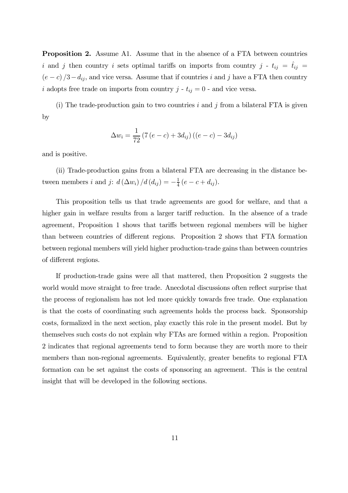Proposition 2. Assume A1. Assume that in the absence of a FTA between countries i and j then country i sets optimal tariffs on imports from country j -  $t_{ij} = \hat{t}_{ij}$  $(e - c)/3 - d_{ij}$ , and vice versa. Assume that if countries i and j have a FTA then country i adopts free trade on imports from country  $j - t_{ij} = 0$  - and vice versa.

(i) The trade-production gain to two countries  $i$  and  $j$  from a bilateral FTA is given by

$$
\Delta w_i = \frac{1}{72} (7 (e - c) + 3 d_{ij}) ((e - c) - 3 d_{ij})
$$

and is positive.

(ii) Trade-production gains from a bilateral FTA are decreasing in the distance between members *i* and *j*:  $d(\Delta w_i)/d(d_{ij}) = -\frac{1}{4}(e-c+d_{ij}).$ 

This proposition tells us that trade agreements are good for welfare, and that a higher gain in welfare results from a larger tariff reduction. In the absence of a trade agreement, Proposition 1 shows that tariffs between regional members will be higher than between countries of different regions. Proposition 2 shows that FTA formation between regional members will yield higher production-trade gains than between countries of different regions.

If production-trade gains were all that mattered, then Proposition 2 suggests the world would move straight to free trade. Anecdotal discussions often reflect surprise that the process of regionalism has not led more quickly towards free trade. One explanation is that the costs of coordinating such agreements holds the process back. Sponsorship costs, formalized in the next section, play exactly this role in the present model. But by themselves such costs do not explain why FTAs are formed within a region. Proposition 2 indicates that regional agreements tend to form because they are worth more to their members than non-regional agreements. Equivalently, greater benefits to regional FTA formation can be set against the costs of sponsoring an agreement. This is the central insight that will be developed in the following sections.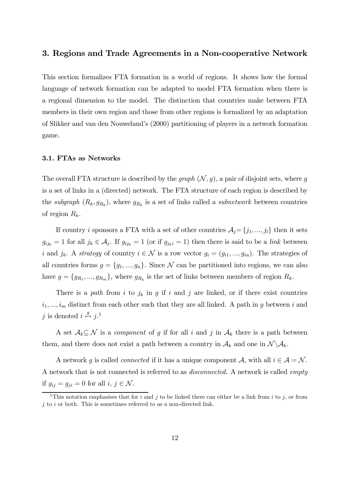#### 3. Regions and Trade Agreements in a Non-cooperative Network

This section formalizes FTA formation in a world of regions. It shows how the formal language of network formation can be adapted to model FTA formation when there is a regional dimension to the model. The distinction that countries make between FTA members in their own region and those from other regions is formalized by an adaptation of Slikker and van den Nouweland's (2000) partitioning of players in a network formation game.

#### 3.1. FTAs as Networks

The overall FTA structure is described by the *graph*  $(N, g)$ , a pair of disjoint sets, where g is a set of links in a (directed) network. The FTA structure of each region is described by the subgraph  $(R_k, g_{R_k})$ , where  $g_{R_k}$  is a set of links called a *subnetwork* between countries of region  $R_k$ .

If country *i* sponsors a FTA with a set of other countries  $A_j = \{j_1, ..., j_l\}$  then it sets  $g_{ij_k} = 1$  for all  $j_k \in \mathcal{A}_j$ . If  $g_{ij_k} = 1$  (or if  $g_{jk} = 1$ ) then there is said to be a *link* between i and  $j_k$ . A strategy of country  $i \in \mathcal{N}$  is a row vector  $g_i = (g_{i1}, ..., g_{in})$ . The strategies of all countries forms  $g = \{g_1, ..., g_n\}$ . Since N can be partitioned into regions, we can also have  $g = \{g_{R_1}, ..., g_{R_m}\}\$ , where  $g_{R_k}$  is the set of links between members of region  $R_k$ .

There is a path from i to  $j_k$  in g if i and j are linked, or if there exist countries  $i_1, ..., i_m$  distinct from each other such that they are all linked. A path in g between i and j is denoted  $i \stackrel{g}{\leftrightarrow} j$ .<sup>5</sup>

A set  $A_k \subseteq \mathcal{N}$  is a *component* of g if for all i and j in  $A_k$  there is a path between them, and there does not exist a path between a country in  $\mathcal{A}_k$  and one in  $\mathcal{N} \backslash \mathcal{A}_k$ .

A network g is called *connected* if it has a unique component A, with all  $i \in \mathcal{A} = \mathcal{N}$ . A network that is not connected is referred to as disconnected. A network is called empty if  $g_{ij} = g_{ji} = 0$  for all  $i, j \in \mathcal{N}$ .

<sup>&</sup>lt;sup>5</sup>This notation emphasises that for i and j to be linked there can either be a link from i to j, or from  $j$  to i or both. This is sometimes referred to as a non-directed link.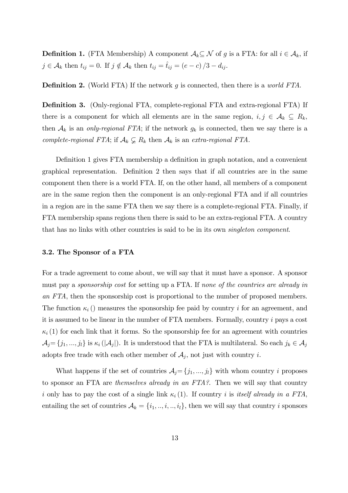**Definition 1.** (FTA Membership) A component  $A_k \subseteq \mathcal{N}$  of g is a FTA: for all  $i \in A_k$ , if  $j \in \mathcal{A}_k$  then  $t_{ij} = 0$ . If  $j \notin \mathcal{A}_k$  then  $t_{ij} = \hat{t}_{ij} = (e - c)/3 - d_{ij}$ .

**Definition 2.** (World FTA) If the network  $g$  is connected, then there is a *world FTA*.

Definition 3. (Only-regional FTA, complete-regional FTA and extra-regional FTA) If there is a component for which all elements are in the same region,  $i, j \in \mathcal{A}_k \subseteq R_k$ , then  $A_k$  is an only-regional FTA; if the network  $g_k$  is connected, then we say there is a complete-regional FTA; if  $\mathcal{A}_k \subsetneq R_k$  then  $\mathcal{A}_k$  is an extra-regional FTA.

Definition 1 gives FTA membership a definition in graph notation, and a convenient graphical representation. Definition 2 then says that if all countries are in the same component then there is a world FTA. If, on the other hand, all members of a component are in the same region then the component is an only-regional FTA and if all countries in a region are in the same FTA then we say there is a complete-regional FTA. Finally, if FTA membership spans regions then there is said to be an extra-regional FTA. A country that has no links with other countries is said to be in its own singleton component.

#### 3.2. The Sponsor of a FTA

For a trade agreement to come about, we will say that it must have a sponsor. A sponsor must pay a sponsorship cost for setting up a FTA. If none of the countries are already in an FTA, then the sponsorship cost is proportional to the number of proposed members. The function  $\kappa_i$  () measures the sponsorship fee paid by country i for an agreement, and it is assumed to be linear in the number of FTA members. Formally, country i pays a cost  $\kappa_i$  (1) for each link that it forms. So the sponsorship fee for an agreement with countries  $\mathcal{A}_j = \{j_1, ..., j_l\}$  is  $\kappa_i$  ( $|\mathcal{A}_j|$ ). It is understood that the FTA is multilateral. So each  $j_k \in \mathcal{A}_j$ adopts free trade with each other member of  $A_j$ , not just with country i.

What happens if the set of countries  $A_j = \{j_1, ..., j_l\}$  with whom country i proposes to sponsor an FTA are themselves already in an FTA?. Then we will say that country i only has to pay the cost of a single link  $\kappa_i$  (1). If country i is itself already in a FTA, entailing the set of countries  $A_k = \{i_1, ..., i, ..., i_l\}$ , then we will say that country i sponsors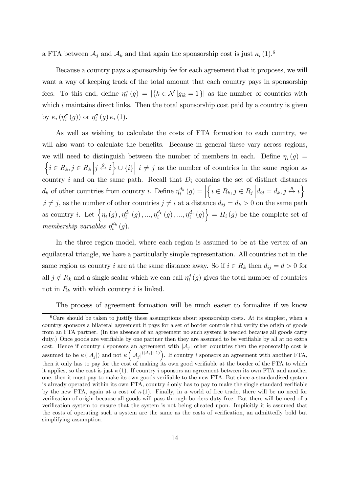a FTA between  $A_j$  and  $A_k$  and that again the sponsorship cost is just  $\kappa_i$  (1).<sup>6</sup>

Because a country pays a sponsorship fee for each agreement that it proposes, we will want a way of keeping track of the total amount that each country pays in sponsorship fees. To this end, define  $\eta_i^{\sigma}(g) = |\{k \in \mathcal{N} | g_{ik} = 1\}|$  as the number of countries with which  $i$  maintains direct links. Then the total sponsorship cost paid by a country is given by  $\kappa_i \left( \eta_i^{\sigma}(g) \right)$  or  $\eta_i^{\sigma}(g) \kappa_i(1)$ .

As well as wishing to calculate the costs of FTA formation to each country, we will also want to calculate the benefits. Because in general these vary across regions, we will need to distinguish between the number of members in each. Define  $\eta_i(g)$  =  $\begin{array}{|c|c|} \hline \multicolumn{1}{|c|}{3} & \multicolumn{1}{|c|}{4} \multicolumn{1}{|c|}{5} \multicolumn{1}{|c|}{6} \multicolumn{1}{|c|}{5} \multicolumn{1}{|c|}{6} \multicolumn{1}{|c|}{6} \multicolumn{1}{|c|}{6} \multicolumn{1}{|c|}{6} \multicolumn{1}{|c|}{6} \multicolumn{1}{|c|}{6} \multicolumn{1}{|c|}{6} \multicolumn{1}{|c|}{6} \multicolumn{1}{|c|}{6} \multicolumn{1}{|c|}{6} \multicolumn{1}{|c|$  $\{i \in R_k, j \in R_k \mid j \stackrel{g}{\leftrightarrow} i\} \cup \{i\} \mid i \neq j$  as the number of countries in the same region as country i and on the same path. Recall that  $D_i$  contains the set of distinct distances  $d_k$  of other countries from country *i*. Define  $\eta_i^{d_k}(g) = \left| \right|$  $\left\{ i \in R_k, j \in R_j \, \Big| d_{ij} = d_k, j \stackrel{g}{\leftrightarrow} i \right\}$  $i \neq j$ , as the number of other countries  $j \neq i$  at a distance  $d_{ij} = d_k > 0$  on the same path as country *i*. Let  $\{ \eta_i(g), \eta_i^{d_1}(g), ..., \eta_i^{d_k}(g), ..., \eta_i^{d_z}(g) \} = H_i(g)$  be the complete set of membership variables  $\eta_i^{d_k}(g)$ .

In the three region model, where each region is assumed to be at the vertex of an equilateral triangle, we have a particularly simple representation. All countries not in the same region as country i are at the same distance away. So if  $i \in R_k$  then  $d_{ij} = d > 0$  for all  $j \notin R_k$  and a single scalar which we can call  $\eta_i^d(g)$  gives the total number of countries not in  $R_k$  with which country i is linked.

The process of agreement formation will be much easier to formalize if we know

 ${}^{6}$ Care should be taken to justify these assumptions about sponsorship costs. At its simplest, when a country sponsors a bilateral agreement it pays for a set of border controls that verify the origin of goods from an FTA partner. (In the absence of an agreement no such system is needed because all goods carry duty.) Once goods are verifiable by one partner then they are assumed to be verifiable by all at no extra cost. Hence if country i sponsors an agreement with  $|\mathcal{A}_i|$  other countries then the sponsorship cost is assumed to be  $\kappa\left(\left|\mathcal{A}_{j}\right|\right)$  and not  $\kappa\left(\right)$  $|\mathcal{A}_j|^{(|\mathcal{A}_j|+1)}$ . If country i sponsors an agreement with another FTA, then it only has to pay for the cost of making its own good verifiable at the border of the FTA to which it applies, so the cost is just  $\kappa$  (1). If country i sponsors an agreement between its own FTA and another one, then it must pay to make its own goods verifiable to the new FTA. But since a standardised system is already operated within its own FTA, country i only has to pay to make the single standard verifiable by the new FTA, again at a cost of  $\kappa(1)$ . Finally, in a world of free trade, there will be no need for verification of origin because all goods will pass through borders duty free. But there will be need of a verification system to ensure that the system is not being cheated upon. Implicitly it is assumed that the costs of operating such a system are the same as the costs of verification, an admittedly bold but simplifying assumption.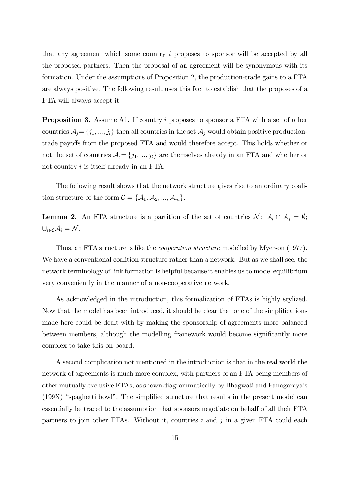that any agreement which some country i proposes to sponsor will be accepted by all the proposed partners. Then the proposal of an agreement will be synonymous with its formation. Under the assumptions of Proposition 2, the production-trade gains to a FTA are always positive. The following result uses this fact to establish that the proposes of a FTA will always accept it.

Proposition 3. Assume A1. If country i proposes to sponsor a FTA with a set of other countries  $A_j = \{j_1, ..., j_l\}$  then all countries in the set  $A_j$  would obtain positive productiontrade payoffs from the proposed FTA and would therefore accept. This holds whether or not the set of countries  $A_j = \{j_1, ..., j_l\}$  are themselves already in an FTA and whether or not country *i* is itself already in an FTA.

The following result shows that the network structure gives rise to an ordinary coalition structure of the form  $C = \{A_1, A_2, ..., A_m\}.$ 

**Lemma 2.** An FTA structure is a partition of the set of countries  $\mathcal{N}$ :  $\mathcal{A}_i \cap \mathcal{A}_j = \emptyset$ ;  $\cup_{i \in \mathcal{C}} \mathcal{A}_i = \mathcal{N}$ .

Thus, an FTA structure is like the cooperation structure modelled by Myerson (1977). We have a conventional coalition structure rather than a network. But as we shall see, the network terminology of link formation is helpful because it enables us to model equilibrium very conveniently in the manner of a non-cooperative network.

As acknowledged in the introduction, this formalization of FTAs is highly stylized. Now that the model has been introduced, it should be clear that one of the simplifications made here could be dealt with by making the sponsorship of agreements more balanced between members, although the modelling framework would become significantly more complex to take this on board.

A second complication not mentioned in the introduction is that in the real world the network of agreements is much more complex, with partners of an FTA being members of other mutually exclusive FTAs, as shown diagrammatically by Bhagwati and Panagaraya's (199X) "spaghetti bowl". The simplified structure that results in the present model can essentially be traced to the assumption that sponsors negotiate on behalf of all their FTA partners to join other FTAs. Without it, countries  $i$  and  $j$  in a given FTA could each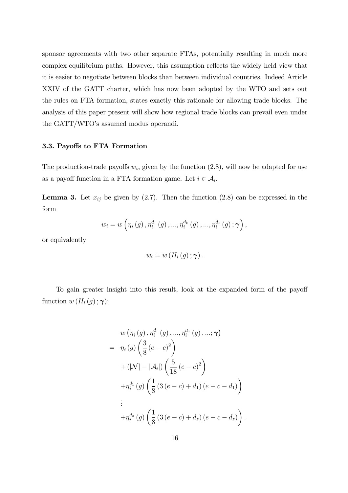sponsor agreements with two other separate FTAs, potentially resulting in much more complex equilibrium paths. However, this assumption reflects the widely held view that it is easier to negotiate between blocks than between individual countries. Indeed Article XXIV of the GATT charter, which has now been adopted by the WTO and sets out the rules on FTA formation, states exactly this rationale for allowing trade blocks. The analysis of this paper present will show how regional trade blocks can prevail even under the GATT/WTO's assumed modus operandi.

#### 3.3. Payoffs to FTA Formation

The production-trade payoffs  $w_i$ , given by the function  $(2.8)$ , will now be adapted for use as a payoff function in a FTA formation game. Let  $i \in \mathcal{A}_i$ .

**Lemma 3.** Let  $x_{ij}$  be given by (2.7). Then the function (2.8) can be expressed in the form

$$
w_i = w \left( \eta_i(g), \eta_i^{d_1}(g), \ldots, \eta_i^{d_k}(g), \ldots, \eta_i^{d_z}(g); \gamma \right),
$$

or equivalently

$$
w_i=w\left(H_i\left(g\right); \boldsymbol{\gamma}\right).
$$

To gain greater insight into this result, look at the expanded form of the payoff function  $w(H_i(g); \gamma)$ :

$$
w (\eta_i(g), \eta_i^{d_1}(g), ..., \eta_i^{d_z}(g), ..., \gamma)
$$
  
=  $\eta_i(g) \left( \frac{3}{8} (e - c)^2 \right)$   
+  $(|\mathcal{N}| - |\mathcal{A}_i|) \left( \frac{5}{18} (e - c)^2 \right)$   
+  $\eta_i^{d_1}(g) \left( \frac{1}{8} (3 (e - c) + d_1) (e - c - d_1) \right)$   
:  
+  $\eta_i^{d_z}(g) \left( \frac{1}{8} (3 (e - c) + d_z) (e - c - d_z) \right)$ 

.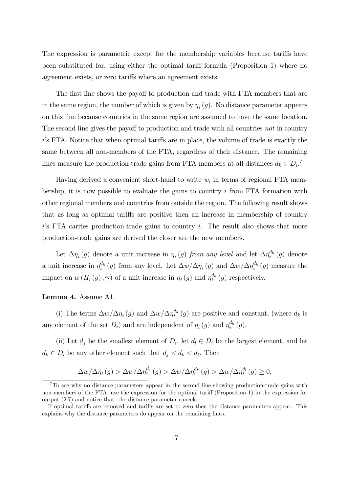The expression is parametric except for the membership variables because tariffs have been substituted for, using either the optimal tariff formula (Proposition 1) where no agreement exists, or zero tariffs where an agreement exists.

The first line shows the payoff to production and trade with FTA members that are in the same region, the number of which is given by  $\eta_i(g)$ . No distance parameter appears on this line because countries in the same region are assumed to have the same location. The second line gives the payoff to production and trade with all countries not in country  $i$ 's FTA. Notice that when optimal tariffs are in place, the volume of trade is exactly the same between all non-members of the FTA, regardless of their distance. The remaining lines measure the production-trade gains from FTA members at all distances  $d_k \in D_i$ .<sup>7</sup>

Having derived a convenient short-hand to write  $w_i$  in terms of regional FTA membership, it is now possible to evaluate the gains to country  $i$  from FTA formation with other regional members and countries from outside the region. The following result shows that as long as optimal tariffs are positive then an increase in membership of country  $i$ 's FTA carries production-trade gains to country i. The result also shows that more production-trade gains are derived the closer are the new members.

Let  $\Delta \eta_i(g)$  denote a unit increase in  $\eta_i(g)$  from any level and let  $\Delta \eta_i^{d_k}(g)$  denote a unit increase in  $\eta_i^{d_k}(g)$  from any level. Let  $\Delta w/\Delta \eta_i(g)$  and  $\Delta w/\Delta \eta_i^{d_k}(g)$  measure the impact on  $w(H_i(g); \gamma)$  of a unit increase in  $\eta_i(g)$  and  $\eta_i^{d_k}(g)$  respectively.

#### Lemma 4. Assume A1.

(i) The terms  $\Delta w/\Delta \eta_i(g)$  and  $\Delta w/\Delta \eta_i^{d_k}(g)$  are positive and constant, (where  $d_k$  is any element of the set  $D_i$ ) and are independent of  $\eta_i(g)$  and  $\eta_i^{d_k}(g)$ .

(ii) Let  $d_i$  be the smallest element of  $D_i$ , let  $d_i \in D_i$  be the largest element, and let  $d_k \in D_i$  be any other element such that  $d_j < d_k < d_l$ . Then

$$
\Delta w/\Delta \eta_i(g) > \Delta w/\Delta \eta_i^{d_j}(g) > \Delta w/\Delta \eta_i^{d_k}(g) > \Delta w/\Delta \eta_i^{d_l}(g) \ge 0.
$$

<sup>7</sup>To see why no distance parameters appear in the second line showing production-trade gains with non-members of the FTA, use the expression for the optimal tariff (Proposition 1) in the expression for output (2.7) and notice that the distance parameter cancels.

If optimal tariffs are removed and tariffs are set to zero then the distance parameters appear. This explains why the distance parameters do appear on the remaining lines.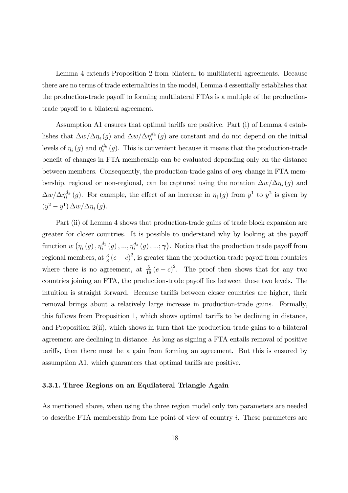Lemma 4 extends Proposition 2 from bilateral to multilateral agreements. Because there are no terms of trade externalities in the model, Lemma 4 essentially establishes that the production-trade payoff to forming multilateral FTAs is a multiple of the productiontrade payoff to a bilateral agreement.

Assumption A1 ensures that optimal tariffs are positive. Part  $(i)$  of Lemma 4 establishes that  $\Delta w/\Delta \eta_i^{\{t\}}(g)$  and  $\Delta w/\Delta \eta_i^{d_k}(g)$  are constant and do not depend on the initial levels of  $\eta_i(g)$  and  $\eta_i^{d_k}(g)$ . This is convenient because it means that the production-trade benefit of changes in FTA membership can be evaluated depending only on the distance between members. Consequently, the production-trade gains of any change in FTA membership, regional or non-regional, can be captured using the notation  $\Delta w/\Delta \eta_i(g)$  and  $\Delta w/\Delta \eta_i^{d_k}(g)$ . For example, the effect of an increase in  $\eta_i(g)$  from  $y^1$  to  $y^2$  is given by  $(y^2 - y^1) \Delta w / \Delta \eta_i(g)$ .

Part (ii) of Lemma 4 shows that production-trade gains of trade block expansion are greater for closer countries. It is possible to understand why by looking at the payoff function  $w(\eta_i(g), \eta_i^{d_1}(g), ..., \eta_i^{d_z}(g), ..., \gamma)$ . Notice that the production trade payoff from regional members, at  $\frac{3}{8}(e-c)^2$ , is greater than the production-trade payoff from countries where there is no agreement, at  $\frac{5}{18}(e-c)^2$ . The proof then shows that for any two countries joining an FTA, the production-trade payoff lies between these two levels. The intuition is straight forward. Because tariffs between closer countries are higher, their removal brings about a relatively large increase in production-trade gains. Formally, this follows from Proposition 1, which shows optimal tariffs to be declining in distance, and Proposition 2(ii), which shows in turn that the production-trade gains to a bilateral agreement are declining in distance. As long as signing a FTA entails removal of positive tariffs, then there must be a gain from forming an agreement. But this is ensured by assumption A1, which guarantees that optimal tariffs are positive.

#### 3.3.1. Three Regions on an Equilateral Triangle Again

As mentioned above, when using the three region model only two parameters are needed to describe FTA membership from the point of view of country i. These parameters are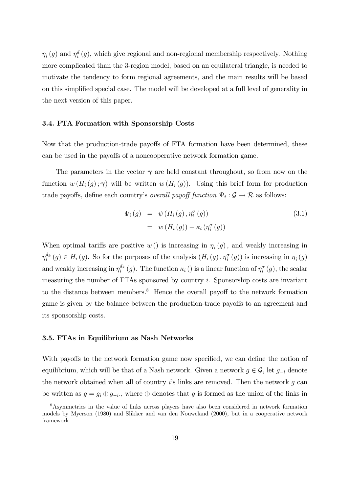$\eta_i(g)$  and  $\eta_i^d(g)$ , which give regional and non-regional membership respectively. Nothing more complicated than the 3-region model, based on an equilateral triangle, is needed to motivate the tendency to form regional agreements, and the main results will be based on this simplified special case. The model will be developed at a full level of generality in the next version of this paper.

#### 3.4. FTA Formation with Sponsorship Costs

Now that the production-trade payoffs of FTA formation have been determined, these can be used in the payoffs of a noncooperative network formation game.

The parameters in the vector  $\gamma$  are held constant throughout, so from now on the function  $w(H_i(g); \gamma)$  will be written  $w(H_i(g))$ . Using this brief form for production trade payoffs, define each country's *overall payoff function*  $\Psi_i : \mathcal{G} \to \mathcal{R}$  as follows:

$$
\Psi_i(g) = \psi(H_i(g), \eta_i^{\sigma}(g))
$$
\n
$$
= w(H_i(g)) - \kappa_i(\eta_i^{\sigma}(g))
$$
\n(3.1)

When optimal tariffs are positive  $w()$  is increasing in  $\eta_i(g)$ , and weakly increasing in  $\eta_i^{d_k}(g) \in H_i(g)$ . So for the purposes of the analysis  $(H_i(g), \eta_i^{\sigma}(g))$  is increasing in  $\eta_i(g)$ and weakly increasing in  $\eta_i^{d_k}(g)$ . The function  $\kappa_i$  () is a linear function of  $\eta_i^{\sigma}(g)$ , the scalar measuring the number of FTAs sponsored by country i. Sponsorship costs are invariant to the distance between members. $8$  Hence the overall payoff to the network formation game is given by the balance between the production-trade payoffs to an agreement and its sponsorship costs.

#### 3.5. FTAs in Equilibrium as Nash Networks

With payoffs to the network formation game now specified, we can define the notion of equilibrium, which will be that of a Nash network. Given a network  $g \in \mathcal{G}$ , let  $g_{-i}$  denote the network obtained when all of country  $i$ 's links are removed. Then the network q can be written as  $g = g_i \oplus g_{-i}$ , where  $\oplus$  denotes that g is formed as the union of the links in

<sup>8</sup>Asymmetries in the value of links across players have also been considered in network formation models by Myerson (1980) and Slikker and van den Nouweland (2000), but in a cooperative network framework.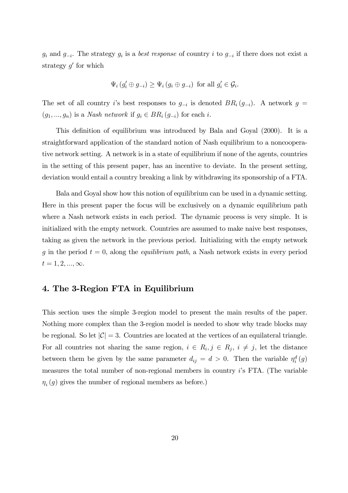$g_i$  and  $g_{-i}$ . The strategy  $g_i$  is a best response of country i to  $g_{-i}$  if there does not exist a strategy  $g'$  for which

$$
\Psi_i(g'_i \oplus g_{-i}) \ge \Psi_i(g_i \oplus g_{-i}) \text{ for all } g'_i \in \mathcal{G}_i.
$$

The set of all country i's best responses to  $g_{-i}$  is denoted  $BR_i(g_{-i})$ . A network  $g =$  $(g_1, ..., g_n)$  is a *Nash network* if  $g_i \in BR_i$   $(g_{-i})$  for each *i*.

This definition of equilibrium was introduced by Bala and Goyal (2000). It is a straightforward application of the standard notion of Nash equilibrium to a noncooperative network setting. A network is in a state of equilibrium if none of the agents, countries in the setting of this present paper, has an incentive to deviate. In the present setting, deviation would entail a country breaking a link by withdrawing its sponsorship of a FTA.

Bala and Goyal show how this notion of equilibrium can be used in a dynamic setting. Here in this present paper the focus will be exclusively on a dynamic equilibrium path where a Nash network exists in each period. The dynamic process is very simple. It is initialized with the empty network. Countries are assumed to make naive best responses, taking as given the network in the previous period. Initializing with the empty network g in the period  $t = 0$ , along the *equilibrium path*, a Nash network exists in every period  $t = 1, 2, ..., \infty.$ 

## 4. The 3-Region FTA in Equilibrium

This section uses the simple 3-region model to present the main results of the paper. Nothing more complex than the 3-region model is needed to show why trade blocks may be regional. So let  $|\mathcal{C}| = 3$ . Countries are located at the vertices of an equilateral triangle. For all countries not sharing the same region,  $i \in R_i, j \in R_j, i \neq j$ , let the distance between them be given by the same parameter  $d_{ij} = d > 0$ . Then the variable  $\eta_i^d(g)$ measures the total number of non-regional members in country i's FTA. (The variable  $\eta_i(g)$  gives the number of regional members as before.)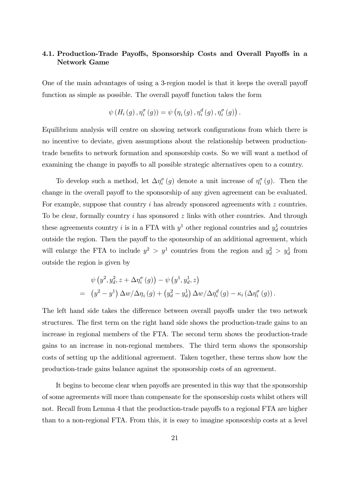## 4.1. Production-Trade Payoffs, Sponsorship Costs and Overall Payoffs in a Network Game

One of the main advantages of using a 3-region model is that it keeps the overall payoff function as simple as possible. The overall payoff function takes the form

$$
\psi(H_i(g), \eta_i^{\sigma}(g)) = \psi(\eta_i(g), \eta_i^d(g), \eta_i^{\sigma}(g)).
$$

Equilibrium analysis will centre on showing network configurations from which there is no incentive to deviate, given assumptions about the relationship between productiontrade benefits to network formation and sponsorship costs. So we will want a method of examining the change in payoffs to all possible strategic alternatives open to a country.

To develop such a method, let  $\Delta \eta_i^{\sigma}(g)$  denote a unit increase of  $\eta_i^{\sigma}(g)$ . Then the change in the overall payoff to the sponsorship of any given agreement can be evaluated. For example, suppose that country i has already sponsored agreements with z countries. To be clear, formally country i has sponsored z links with other countries. And through these agreements country *i* is in a FTA with  $y^1$  other regional countries and  $y_d^1$  countries outside the region. Then the payoff to the sponsorship of an additional agreement, which will enlarge the FTA to include  $y^2 > y^1$  countries from the region and  $y_d^2 > y_d^1$  from outside the region is given by

$$
\psi(y^2, y_d^2, z + \Delta \eta_i^{\sigma}(g)) - \psi(y^1, y_d^1, z)
$$
  
= 
$$
(y^2 - y^1) \Delta w / \Delta \eta_i(g) + (y_d^2 - y_d^1) \Delta w / \Delta \eta_i^d(g) - \kappa_i (\Delta \eta_i^{\sigma}(g)).
$$

The left hand side takes the difference between overall payoffs under the two network structures. The first term on the right hand side shows the production-trade gains to an increase in regional members of the FTA. The second term shows the production-trade gains to an increase in non-regional members. The third term shows the sponsorship costs of setting up the additional agreement. Taken together, these terms show how the production-trade gains balance against the sponsorship costs of an agreement.

It begins to become clear when payoffs are presented in this way that the sponsorship of some agreements will more than compensate for the sponsorship costs whilst others will not. Recall from Lemma 4 that the production-trade payoffs to a regional FTA are higher than to a non-regional FTA. From this, it is easy to imagine sponsorship costs at a level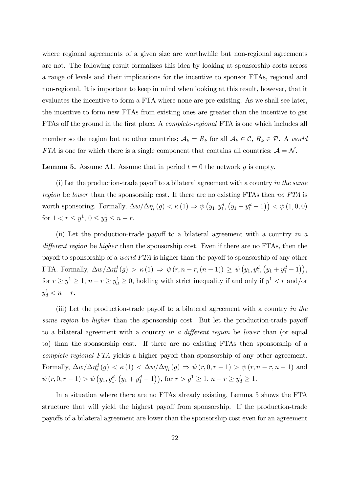where regional agreements of a given size are worthwhile but non-regional agreements are not. The following result formalizes this idea by looking at sponsorship costs across a range of levels and their implications for the incentive to sponsor FTAs, regional and non-regional. It is important to keep in mind when looking at this result, however, that it evaluates the incentive to form a FTA where none are pre-existing. As we shall see later, the incentive to form new FTAs from existing ones are greater than the incentive to get FTAs off the ground in the first place. A *complete-regional* FTA is one which includes all member so the region but no other countries;  $A_k = R_k$  for all  $A_k \in \mathcal{C}$ ,  $R_k \in \mathcal{P}$ . A world FTA is one for which there is a single component that contains all countries;  $A = N$ .

**Lemma 5.** Assume A1. Assume that in period  $t = 0$  the network q is empty.

(i) Let the production-trade payoff to a bilateral agreement with a country in the same region be lower than the sponsorship cost. If there are no existing FTAs then no FTA is worth sponsoring. Formally,  $\Delta w/\Delta \eta_i(g) < \kappa(1) \Rightarrow \psi(g_1, y_1^d, (y_1 + y_1^d - 1)) < \psi(1, 0, 0)$ for  $1 < r \leq y^1$ ,  $0 \leq y_d^1 \leq n - r$ .

(ii) Let the production-trade payoff to a bilateral agreement with a country in  $a$ different region be higher than the sponsorship cost. Even if there are no FTAs, then the payoff to sponsorship of a *world FTA* is higher than the payoff to sponsorship of any other FTA. Formally,  $\Delta w / \Delta \eta_i^d(g) > \kappa(1) \Rightarrow \psi(r, n-r, (n-1)) \ge \psi(y_1, y_1^d, (y_1 + y_1^d - 1)),$ for  $r \ge y^1 \ge 1$ ,  $n - r \ge y_d^1 \ge 0$ , holding with strict inequality if and only if  $y^1 < r$  and/or  $y_d^1 < n - r$ .

(iii) Let the production-trade payoff to a bilateral agreement with a country in the same region be higher than the sponsorship cost. But let the production-trade payoff to a bilateral agreement with a country in a different region be lower than (or equal to) than the sponsorship cost. If there are no existing FTAs then sponsorship of a complete-regional FTA yields a higher payoff than sponsorship of any other agreement. Formally,  $\Delta w/\Delta \eta_i^d(g) < \kappa(1) < \Delta w/\Delta \eta_i(g) \Rightarrow \psi(r, 0, r - 1) > \psi(r, n - r, n - 1)$  and  $\psi(r, 0, r - 1) > \psi(y_1, y_1^d, (y_1 + y_1^d - 1)),$  for  $r > y^1 \ge 1$ ,  $n - r \ge y_d^1 \ge 1$ .

In a situation where there are no FTAs already existing, Lemma 5 shows the FTA structure that will yield the highest payoff from sponsorship. If the production-trade payoffs of a bilateral agreement are lower than the sponsorship cost even for an agreement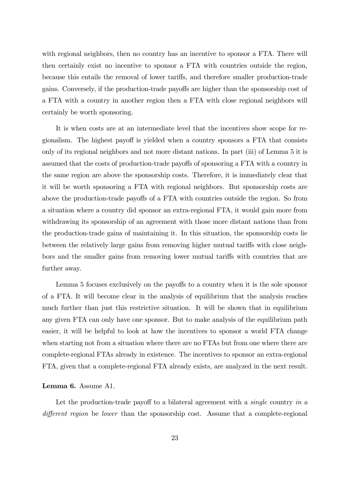with regional neighbors, then no country has an incentive to sponsor a FTA. There will then certainly exist no incentive to sponsor a FTA with countries outside the region, because this entails the removal of lower tariffs, and therefore smaller production-trade gains. Conversely, if the production-trade payoffs are higher than the sponsorship cost of a FTA with a country in another region then a FTA with close regional neighbors will certainly be worth sponsoring.

It is when costs are at an intermediate level that the incentives show scope for regionalism. The highest payoff is yielded when a country sponsors a FTA that consists only of its regional neighbors and not more distant nations. In part (iii) of Lemma 5 it is assumed that the costs of production-trade payoffs of sponsoring a FTA with a country in the same region are above the sponsorship costs. Therefore, it is immediately clear that it will be worth sponsoring a FTA with regional neighbors. But sponsorship costs are above the production-trade payoffs of a FTA with countries outside the region. So from a situation where a country did sponsor an extra-regional FTA, it would gain more from withdrawing its sponsorship of an agreement with those more distant nations than from the production-trade gains of maintaining it. In this situation, the sponsorship costs lie between the relatively large gains from removing higher mutual tariffs with close neighbors and the smaller gains from removing lower mutual tariffs with countries that are further away.

Lemma 5 focuses exclusively on the payoffs to a country when it is the sole sponsor of a FTA. It will become clear in the analysis of equilibrium that the analysis reaches much further than just this restrictive situation. It will be shown that in equilibrium any given FTA can only have one sponsor. But to make analysis of the equilibrium path easier, it will be helpful to look at how the incentives to sponsor a world FTA change when starting not from a situation where there are no FTAs but from one where there are complete-regional FTAs already in existence. The incentives to sponsor an extra-regional FTA, given that a complete-regional FTA already exists, are analyzed in the next result.

#### Lemma 6. Assume A1.

Let the production-trade payoff to a bilateral agreement with a *single* country in  $\alpha$ different region be lower than the sponsorship cost. Assume that a complete-regional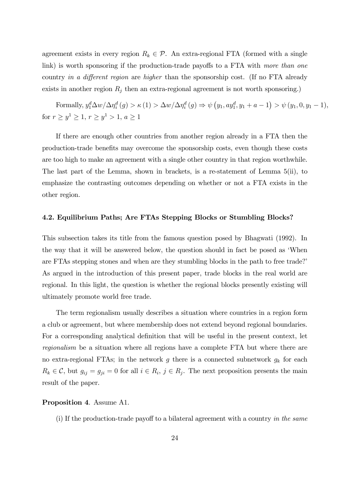agreement exists in every region  $R_k \in \mathcal{P}$ . An extra-regional FTA (formed with a single link) is worth sponsoring if the production-trade payoffs to a FTA with more than one country in a different region are higher than the sponsorship cost. (If no FTA already exists in another region  $R_j$  then an extra-regional agreement is not worth sponsoring.)

Formally,  $y_1^d \Delta w / \Delta \eta_i^d(g) > \kappa(1) > \Delta w / \Delta \eta_i^d(g) \Rightarrow \psi(y_1, ay_1^d, y_1 + a - 1) > \psi(y_1, 0, y_1 - 1),$ for  $r \ge y^1 \ge 1, r \ge y^1 > 1, a \ge 1$ 

If there are enough other countries from another region already in a FTA then the production-trade benefits may overcome the sponsorship costs, even though these costs are too high to make an agreement with a single other country in that region worthwhile. The last part of the Lemma, shown in brackets, is a re-statement of Lemma 5(ii), to emphasize the contrasting outcomes depending on whether or not a FTA exists in the other region.

#### 4.2. Equilibrium Paths; Are FTAs Stepping Blocks or Stumbling Blocks?

This subsection takes its title from the famous question posed by Bhagwati (1992). In the way that it will be answered below, the question should in fact be posed as 'When are FTAs stepping stones and when are they stumbling blocks in the path to free trade?' As argued in the introduction of this present paper, trade blocks in the real world are regional. In this light, the question is whether the regional blocks presently existing will ultimately promote world free trade.

The term regionalism usually describes a situation where countries in a region form a club or agreement, but where membership does not extend beyond regional boundaries. For a corresponding analytical definition that will be useful in the present context, let regionalism be a situation where all regions have a complete FTA but where there are no extra-regional FTAs; in the network g there is a connected subnetwork  $g_k$  for each  $R_k \in \mathcal{C}$ , but  $g_{ij} = g_{ji} = 0$  for all  $i \in R_i$ ,  $j \in R_j$ . The next proposition presents the main result of the paper.

#### Proposition 4. Assume A1.

(i) If the production-trade payoff to a bilateral agreement with a country in the same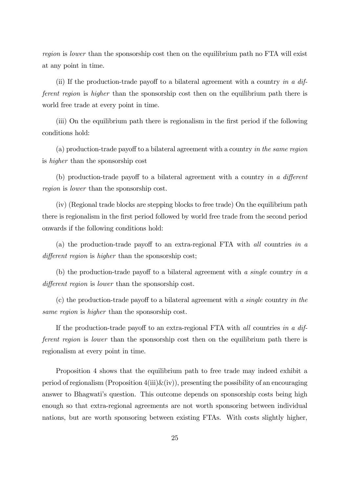region is lower than the sponsorship cost then on the equilibrium path no FTA will exist at any point in time.

(ii) If the production-trade payoff to a bilateral agreement with a country in a  $di\ddot{f}$ ferent region is higher than the sponsorship cost then on the equilibrium path there is world free trade at every point in time.

(iii) On the equilibrium path there is regionalism in the first period if the following conditions hold:

(a) production-trade payoff to a bilateral agreement with a country in the same region is higher than the sponsorship cost

(b) production-trade payoff to a bilateral agreement with a country in a different region is lower than the sponsorship cost.

(iv) (Regional trade blocks are stepping blocks to free trade) On the equilibrium path there is regionalism in the first period followed by world free trade from the second period onwards if the following conditions hold:

(a) the production-trade payoff to an extra-regional FTA with *all* countries in a  $differential region is higher than the sponsorship cost;$ 

(b) the production-trade payoff to a bilateral agreement with a single country in a different region is lower than the sponsorship cost.

 $(c)$  the production-trade payoff to a bilateral agreement with a single country in the same region is higher than the sponsorship cost.

If the production-trade payoff to an extra-regional FTA with all countries in a different region is lower than the sponsorship cost then on the equilibrium path there is regionalism at every point in time.

Proposition 4 shows that the equilibrium path to free trade may indeed exhibit a period of regionalism (Proposition  $4(iii) \& (iv)$ ), presenting the possibility of an encouraging answer to Bhagwati's question. This outcome depends on sponsorship costs being high enough so that extra-regional agreements are not worth sponsoring between individual nations, but are worth sponsoring between existing FTAs. With costs slightly higher,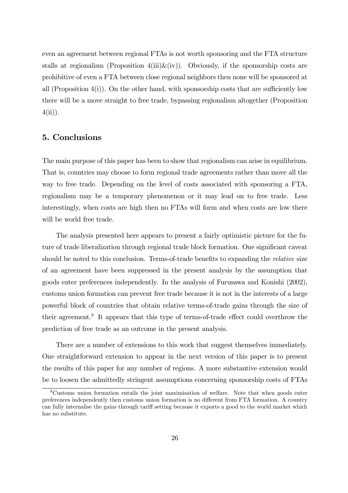even an agreement between regional FTAs is not worth sponsoring and the FTA structure stalls at regionalism (Proposition  $4(iii) \& (iv)$ ). Obviously, if the sponsorship costs are prohibitive of even a FTA between close regional neighbors then none will be sponsored at all (Proposition  $4(i)$ ). On the other hand, with sponsorship costs that are sufficiently low there will be a move straight to free trade, bypassing regionalism altogether (Proposition  $4(ii)$ ).

# 5. Conclusions

The main purpose of this paper has been to show that regionalism can arise in equilibrium. That is, countries may choose to form regional trade agreements rather than move all the way to free trade. Depending on the level of costs associated with sponsoring a FTA, regionalism may be a temporary phenomenon or it may lead on to free trade. Less interestingly, when costs are high then no FTAs will form and when costs are low there will be world free trade.

The analysis presented here appears to present a fairly optimistic picture for the future of trade liberalization through regional trade block formation. One significant caveat should be noted to this conclusion. Terms-of-trade benefits to expanding the *relative* size of an agreement have been suppressed in the present analysis by the assumption that goods enter preferences independently. In the analysis of Furusawa and Konishi (2002), customs union formation can prevent free trade because it is not in the interests of a large powerful block of countries that obtain relative terms-of-trade gains through the size of their agreement.<sup>9</sup> It appears that this type of terms-of-trade effect could overthrow the prediction of free trade as an outcome in the present analysis.

There are a number of extensions to this work that suggest themselves immediately. One straightforward extension to appear in the next version of this paper is to present the results of this paper for any number of regions. A more substantive extension would be to loosen the admittedly stringent assumptions concerning sponsorship costs of FTAs

<sup>9</sup>Customs union formation entails the joint maximisation of welfare. Note that when goods enter preferences independently then customs union formation is no different from FTA formation. A country can fully internalise the gains through tariff setting because it exports a good to the world market which has no substitute.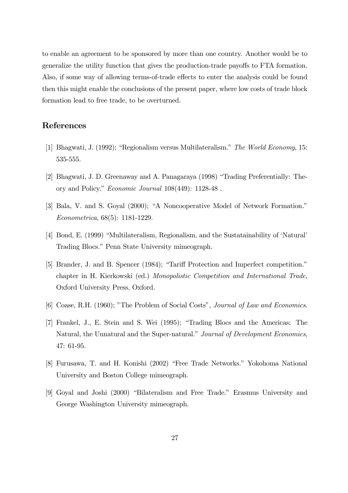to enable an agreement to be sponsored by more than one country. Another would be to generalize the utility function that gives the production-trade payoffs to FTA formation. Also, if some way of allowing terms-of-trade effects to enter the analysis could be found then this might enable the conclusions of the present paper, where low costs of trade block formation lead to free trade, to be overturned.

# References

- [1] Bhagwati, J. (1992); "Regionalism versus Multilateralism." The World Economy, 15: 535-555.
- [2] Bhagwati, J. D. Greenaway and A. Panagaraya (1998) "Trading Preferentially: Theory and Policy." Economic Journal 108(449): 1128-48 .
- [3] Bala, V. and S. Goyal (2000); "A Noncooperative Model of Network Formation." Econometrica, 68(5): 1181-1229.
- [4] Bond, E. (1999) "Multilateralism, Regionalism, and the Sustatainability of 'Natural' Trading Blocs." Penn State University mimeograph.
- [5] Brander, J. and B. Spencer (1984); "Tariff Protection and Imperfect competition." chapter in H. Kierkowski (ed.) Monopolistic Competition and International Trade, Oxford University Press, Oxford.
- [6] Coase, R.H. (1960); "The Problem of Social Costs", Journal of Law and Economics.
- [7] Frankel, J., E. Stein and S. Wei (1995); "Trading Blocs and the Americas: The Natural, the Unnatural and the Super-natural." Journal of Development Economics, 47: 61-95.
- [8] Furusawa, T. and H. Konishi (2002) "Free Trade Networks." Yokohoma National University and Boston College mimeograph.
- [9] Goyal and Joshi (2000) "Bilateralism and Free Trade." Erasmus University and George Washington University mimeograph.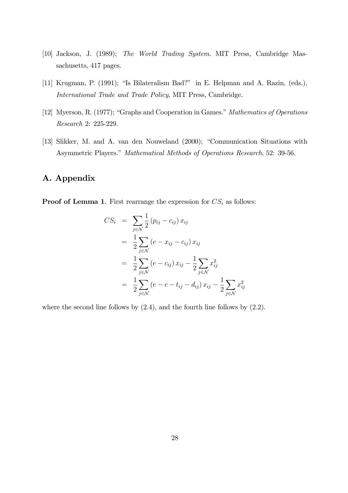- [10] Jackson, J. (1989); The World Trading System. MIT Press, Cambridge Massachusetts, 417 pages.
- [11] Krugman, P. (1991); "Is Bilateralism Bad?" in E. Helpman and A. Razin, (eds.), International Trade and Trade Policy, MIT Press, Cambridge.
- [12] Myerson, R. (1977); "Graphs and Cooperation in Games." Mathematics of Operations Research 2: 225-229.
- [13] Slikker, M. and A. van den Nouweland (2000); "Communication Situations with Asymmetric Players." Mathematical Methods of Operations Research, 52: 39-56.

# A. Appendix

**Proof of Lemma 1.** First rearrange the expression for  $CS_i$  as follows:

$$
CS_{i} = \sum_{j \in \mathcal{N}} \frac{1}{2} (p_{ij} - c_{ij}) x_{ij}
$$
  
=  $\frac{1}{2} \sum_{j \in \mathcal{N}} (e - x_{ij} - c_{ij}) x_{ij}$   
=  $\frac{1}{2} \sum_{j \in \mathcal{N}} (e - c_{ij}) x_{ij} - \frac{1}{2} \sum_{j \in \mathcal{N}} x_{ij}^{2}$   
=  $\frac{1}{2} \sum_{j \in \mathcal{N}} (e - c - t_{ij} - d_{ij}) x_{ij} - \frac{1}{2} \sum_{j \in \mathcal{N}} x_{ij}^{2}$ 

where the second line follows by  $(2.4)$ , and the fourth line follows by  $(2.2)$ .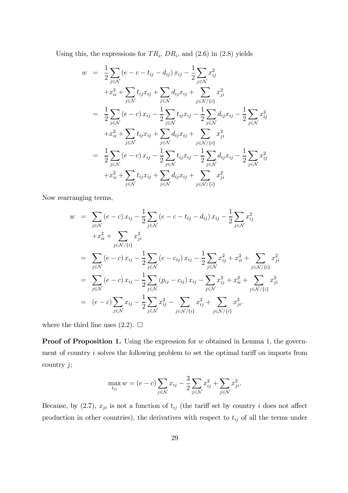Using this, the expressions for  $TR_i$ ,  $DR_i$ , and  $(2.6)$  in  $(2.8)$  yields

$$
w = \frac{1}{2} \sum_{j \in \mathcal{N}} (e - c - t_{ij} - d_{ij}) x_{ij} - \frac{1}{2} \sum_{j \in \mathcal{N}} x_{ij}^{2}
$$
  
\n
$$
+ x_{ii}^{2} + \sum_{j \in \mathcal{N}} t_{ij} x_{ij} + \sum_{j \in \mathcal{N}} d_{ij} x_{ij} + \sum_{j \in \mathcal{N}/\{i\}} x_{ji}^{2}
$$
  
\n
$$
= \frac{1}{2} \sum_{j \in \mathcal{N}} (e - c) x_{ij} - \frac{1}{2} \sum_{j \in \mathcal{N}} t_{ij} x_{ij} - \frac{1}{2} \sum_{j \in \mathcal{N}} d_{ij} x_{ij} - \frac{1}{2} \sum_{j \in \mathcal{N}} x_{ij}^{2}
$$
  
\n
$$
+ x_{ii}^{2} + \sum_{j \in \mathcal{N}} t_{ij} x_{ij} + \sum_{j \in \mathcal{N}} d_{ij} x_{ij} + \sum_{j \in \mathcal{N}/\{i\}} x_{ji}^{2}
$$
  
\n
$$
= \frac{1}{2} \sum_{j \in \mathcal{N}} (e - c) x_{ij} - \frac{1}{2} \sum_{j \in \mathcal{N}} t_{ij} x_{ij} - \frac{1}{2} \sum_{j \in \mathcal{N}} d_{ij} x_{ij} - \frac{1}{2} \sum_{j \in \mathcal{N}} x_{ij}^{2}
$$
  
\n
$$
+ x_{ii}^{2} + \sum_{j \in \mathcal{N}} t_{ij} x_{ij} + \sum_{j \in \mathcal{N}} d_{ij} x_{ij} + \sum_{j \in \mathcal{N}/\{i\}} x_{ji}^{2}
$$

Now rearranging terms,

$$
w = \sum_{j \in \mathcal{N}} (e - c) x_{ij} - \frac{1}{2} \sum_{j \in \mathcal{N}} (e - c - t_{ij} - d_{ij}) x_{ij} - \frac{1}{2} \sum_{j \in \mathcal{N}} x_{ij}^2
$$
  
+ $x_{ii}^2 + \sum_{j \in \mathcal{N}/\{i\}} x_{ji}^2$   
= $\sum_{j \in \mathcal{N}} (e - c) x_{ij} - \frac{1}{2} \sum_{j \in \mathcal{N}} (e - c_{ij}) x_{ij} - \frac{1}{2} \sum_{j \in \mathcal{N}} x_{ij}^2 + x_{ii}^2 + \sum_{j \in \mathcal{N}/\{i\}} x_{ji}^2$   
= $\sum_{j \in \mathcal{N}} (e - c) x_{ij} - \frac{1}{2} \sum_{j \in \mathcal{N}} (p_{ij} - c_{ij}) x_{ij} - \sum_{j \in \mathcal{N}} x_{ij}^2 + x_{ii}^2 + \sum_{j \in \mathcal{N}/\{i\}} x_{ji}^2$   
= $(e - c) \sum_{j \in \mathcal{N}} x_{ij} - \frac{1}{2} \sum_{j \in \mathcal{N}} x_{ij}^2 - \sum_{j \in \mathcal{N}/\{i\}} x_{ij}^2 + \sum_{j \in \mathcal{N}/\{i\}} x_{ji}^2$ .

where the third line uses  $(2.2)$ .  $\Box$ 

**Proof of Proposition 1.** Using the expression for  $w$  obtained in Lemma 1, the government of country  $i$  solves the following problem to set the optimal tariff on imports from country  $j$ ;

$$
\max_{t_{ij}} w = (e - c) \sum_{j \in \mathcal{N}} x_{ij} - \frac{3}{2} \sum_{j \in \mathcal{N}} x_{ij}^2 + \sum_{j \in \mathcal{N}} x_{ji}^2.
$$

Because, by (2.7),  $x_{ji}$  is not a function of  $t_{ij}$  (the tariff set by country i does not affect production in other countries), the derivatives with respect to  $t_{ij}$  of all the terms under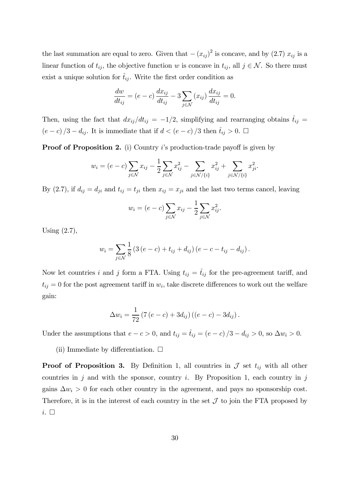the last summation are equal to zero. Given that  $-(x_{ij})^2$  is concave, and by (2.7)  $x_{ij}$  is a linear function of  $t_{ij}$ , the objective function w is concave in  $t_{ij}$ , all  $j \in \mathcal{N}$ . So there must exist a unique solution for  $\hat{t}_{ij}$ . Write the first order condition as

$$
\frac{dw}{dt_{ij}} = (e - c) \frac{dx_{ij}}{dt_{ij}} - 3 \sum_{j \in \mathcal{N}} (x_{ij}) \frac{dx_{ij}}{dt_{ij}} = 0.
$$

Then, using the fact that  $dx_{ij}/dt_{ij} = -1/2$ , simplifying and rearranging obtains  $\hat{t}_{ij} =$  $(e-c)/3 - d_{ij}$ . It is immediate that if  $d < (e-c)/3$  then  $\hat{t}_{ij} > 0$ .  $\Box$ 

**Proof of Proposition 2.** (i) Country  $i$ 's production-trade payoff is given by

$$
w_i = (e - c) \sum_{j \in \mathcal{N}} x_{ij} - \frac{1}{2} \sum_{j \in \mathcal{N}} x_{ij}^2 - \sum_{j \in \mathcal{N}/\{i\}} x_{ij}^2 + \sum_{j \in \mathcal{N}/\{i\}} x_{ji}^2.
$$

By (2.7), if  $d_{ij} = d_{ji}$  and  $t_{ij} = t_{ji}$  then  $x_{ij} = x_{ji}$  and the last two terms cancel, leaving

$$
w_i = (e - c) \sum_{j \in \mathcal{N}} x_{ij} - \frac{1}{2} \sum_{j \in \mathcal{N}} x_{ij}^2.
$$

Using (2.7),

$$
w_i = \sum_{j \in \mathcal{N}} \frac{1}{8} \left( 3 (e - c) + t_{ij} + d_{ij} \right) (e - c - t_{ij} - d_{ij}).
$$

Now let countries i and j form a FTA. Using  $t_{ij} = \hat{t}_{ij}$  for the pre-agreement tariff, and  $t_{ij} = 0$  for the post agreement tariff in  $w_i$ , take discrete differences to work out the welfare gain:

$$
\Delta w_i = \frac{1}{72} (7 (e - c) + 3 d_{ij}) ((e - c) - 3 d_{ij}).
$$

Under the assumptions that  $e - c > 0$ , and  $t_{ij} = \hat{t}_{ij} = (e - c)/3 - d_{ij} > 0$ , so  $\Delta w_i > 0$ .

(ii) Immediate by differentiation.  $\Box$ 

**Proof of Proposition 3.** By Definition 1, all countries in  $\mathcal J$  set  $t_{ij}$  with all other countries in j and with the sponsor, country i. By Proposition 1, each country in j gains  $\Delta w_i > 0$  for each other country in the agreement, and pays no sponsorship cost. Therefore, it is in the interest of each country in the set  $\mathcal J$  to join the FTA proposed by  $i. \Box$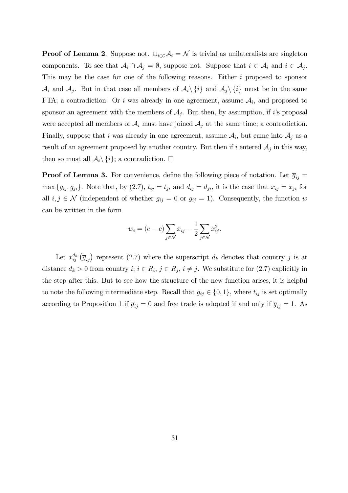**Proof of Lemma 2.** Suppose not.  $\bigcup_{i\in\mathcal{C}}\mathcal{A}_i = \mathcal{N}$  is trivial as unilateralists are singleton components. To see that  $A_i \cap A_j = \emptyset$ , suppose not. Suppose that  $i \in A_i$  and  $i \in A_j$ . This may be the case for one of the following reasons. Either i proposed to sponsor  $\mathcal{A}_i$  and  $\mathcal{A}_j$ . But in that case all members of  $\mathcal{A}_i \setminus \{i\}$  and  $\mathcal{A}_j \setminus \{i\}$  must be in the same FTA; a contradiction. Or i was already in one agreement, assume  $A_i$ , and proposed to sponsor an agreement with the members of  $A_j$ . But then, by assumption, if i's proposal were accepted all members of  $\mathcal{A}_i$  must have joined  $\mathcal{A}_j$  at the same time; a contradiction. Finally, suppose that i was already in one agreement, assume  $A_i$ , but came into  $A_j$  as a result of an agreement proposed by another country. But then if i entered  $A_j$  in this way, then so must all  $\mathcal{A}_i \setminus \{i\}$ ; a contradiction.  $\Box$ 

**Proof of Lemma 3.** For convenience, define the following piece of notation. Let  $\overline{g}_{ij} =$ max  $\{g_{ij}, g_{ji}\}\$ . Note that, by (2.7),  $t_{ij} = t_{ji}$  and  $d_{ij} = d_{ji}$ , it is the case that  $x_{ij} = x_{ji}$  for all  $i, j \in \mathcal{N}$  (independent of whether  $g_{ij} = 0$  or  $g_{ij} = 1$ ). Consequently, the function w can be written in the form

$$
w_i = (e - c) \sum_{j \in \mathcal{N}} x_{ij} - \frac{1}{2} \sum_{j \in \mathcal{N}} x_{ij}^2.
$$

Let  $x_{ij}^{d_k}(\overline{g}_{ij})$  represent (2.7) where the superscript  $d_k$  denotes that country j is at distance  $d_k > 0$  from country  $i; i \in R_i, j \in R_j, i \neq j$ . We substitute for  $(2.7)$  explicitly in the step after this. But to see how the structure of the new function arises, it is helpful to note the following intermediate step. Recall that  $g_{ij} \in \{0, 1\}$ , where  $t_{ij}$  is set optimally according to Proposition 1 if  $\overline{g}_{ij} = 0$  and free trade is adopted if and only if  $\overline{g}_{ij} = 1$ . As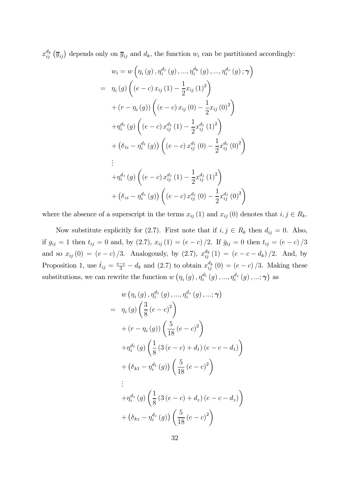$x_{ij}^{d_k}(\overline{g}_{ij})$  depends only on  $\overline{g}_{ij}$  and  $d_k$ , the function  $w_i$  can be partitioned accordingly:

$$
w_{i} = w \left(\eta_{i} \left(g\right), \eta_{i}^{d_{1}} \left(g\right), \dots, \eta_{i}^{d_{k}} \left(g\right), \dots, \eta_{i}^{d_{z}} \left(g\right); \gamma\right)
$$
  
\n
$$
= \eta_{i} \left(g\right) \left(\left(e-c\right) x_{ij} \left(1\right) - \frac{1}{2} x_{ij} \left(1\right)^{2}\right)
$$
  
\n
$$
+ \left(r - \eta_{i} \left(g\right)\right) \left(\left(e-c\right) x_{ij} \left(0\right) - \frac{1}{2} x_{ij} \left(0\right)^{2}\right)
$$
  
\n
$$
+ \eta_{i}^{d_{1}} \left(g\right) \left(\left(e-c\right) x_{ij}^{d_{1}} \left(1\right) - \frac{1}{2} x_{ij}^{d_{1}} \left(1\right)^{2}\right)
$$
  
\n
$$
+ \left(\delta_{1i} - \eta_{i}^{d_{1}} \left(g\right)\right) \left(\left(e-c\right) x_{ij}^{d_{1}} \left(0\right) - \frac{1}{2} x_{ij}^{d_{1}} \left(0\right)^{2}\right)
$$
  
\n
$$
\vdots
$$
  
\n
$$
+ \eta_{i}^{d_{z}} \left(g\right) \left(\left(e-c\right) x_{ij}^{d_{z}} \left(1\right) - \frac{1}{2} x_{ij}^{d_{z}} \left(1\right)^{2}\right)
$$
  
\n
$$
+ \left(\delta_{zi} - \eta_{i}^{d_{z}} \left(g\right)\right) \left(\left(e-c\right) x_{ij}^{d_{z}} \left(0\right) - \frac{1}{2} x_{ij}^{d_{z}} \left(0\right)^{2}\right)
$$

where the absence of a superscript in the terms  $x_{ij}$  (1) and  $x_{ij}$  (0) denotes that  $i, j \in R_k$ .

Now substitute explicitly for (2.7). First note that if  $i, j \in R_k$  then  $d_{ij} = 0$ . Also, if  $g_{ij} = 1$  then  $t_{ij} = 0$  and, by (2.7),  $x_{ij} (1) = (e - c)/2$ . If  $\bar{g}_{ij} = 0$  then  $t_{ij} = (e - c)/3$ and so  $x_{ij}(0) = (e-c)/3$ . Analogously, by  $(2.7)$ ,  $x_{ij}^{d_k}(1) = (e-c-d_k)/2$ . And, by Proposition 1, use  $\hat{t}_{ij} = \frac{e-c}{3} - d_k$  and (2.7) to obtain  $x_{ij}^{d_k}(0) = (e-c)/3$ . Making these substitutions, we can rewrite the function  $w(\eta_i(g), \eta_i^{d_1}(g), ..., \eta_i^{d_z}(g), ..., \gamma)$  as

$$
w (\eta_i(g), \eta_i^{d_1}(g), ..., \eta_i^{d_z}(g), ..., \gamma)
$$
  
=  $\eta_i(g) \left( \frac{3}{8} (e-c)^2 \right)$   
+  $(r - \eta_i(g)) \left( \frac{5}{18} (e-c)^2 \right)$   
+  $\eta_i^{d_1}(g) \left( \frac{1}{8} (3 (e-c) + d_1) (e-c-d_1) \right)$   
+  $(\delta_{k1} - \eta_i^{d_1}(g)) \left( \frac{5}{18} (e-c)^2 \right)$   
:  
+  $\eta_i^{d_z}(g) \left( \frac{1}{8} (3 (e-c) + d_z) (e-c-d_z) \right)$   
+  $(\delta_{kz} - \eta_i^{d_z}(g)) \left( \frac{5}{18} (e-c)^2 \right)$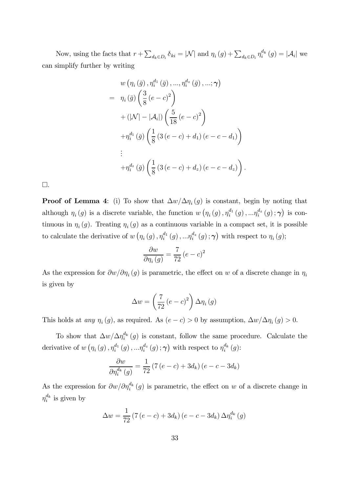Now, using the facts that  $r + \sum_{d_k \in D_i} \delta_{ki} = |\mathcal{N}|$  and  $\eta_i(g) + \sum_{d_k \in D_i} \eta_i^{d_k}(g) = |\mathcal{A}_i|$  we can simplify further by writing

$$
w (\eta_i (\bar{g}), \eta_i^{d_1} (\bar{g}), ..., \eta_i^{d_z} (\bar{g}), ..., \gamma)
$$
  
= 
$$
\eta_i (\bar{g}) \left( \frac{3}{8} (e - c)^2 \right)
$$
  
+ 
$$
(|\mathcal{N}| - |\mathcal{A}_i|) \left( \frac{5}{18} (e - c)^2 \right)
$$
  
+ 
$$
\eta_i^{d_1} (\bar{g}) \left( \frac{1}{8} (3 (e - c) + d_1) (e - c - d_1) \right)
$$
  
:  
+ 
$$
\eta_i^{d_z} (\bar{g}) \left( \frac{1}{8} (3 (e - c) + d_z) (e - c - d_z) \right).
$$

 $\square$ .

**Proof of Lemma 4:** (i) To show that  $\Delta w/\Delta \eta_i(g)$  is constant, begin by noting that although  $\eta_i(g)$  is a discrete variable, the function  $w(\eta_i(g), \eta_i^{d_1}(g), \ldots, \eta_i^{d_z}(g); \gamma)$  is continuous in  $\eta_i(g)$ . Treating  $\eta_i(g)$  as a continuous variable in a compact set, it is possible to calculate the derivative of  $w(\eta_i(g), \eta_i^{d_1}(g), \ldots, \eta_i^{d_z}(g); \gamma)$  with respect to  $\eta_i(g)$ ;

$$
\frac{\partial w}{\partial \eta_i(g)} = \frac{7}{72} (e - c)^2
$$

As the expression for  $\partial w/\partial \eta_i(g)$  is parametric, the effect on w of a discrete change in  $\eta_i$ is given by

$$
\Delta w = \left(\frac{7}{72} (e - c)^2\right) \Delta \eta_i(g)
$$

This holds at *any*  $\eta_i(g)$ , as required. As  $(e - c) > 0$  by assumption,  $\Delta w / \Delta \eta_i(g) > 0$ .

To show that  $\Delta w/\Delta \eta_i^{d_k}(g)$  is constant, follow the same procedure. Calculate the derivative of  $w(\eta_i(g), \eta_i^{d_1}(g), \ldots, \eta_i^{d_z}(g); \gamma)$  with respect to  $\eta_i^{d_k}(g)$ :

$$
\frac{\partial w}{\partial \eta_i^{d_k}(g)} = \frac{1}{72} \left( 7\left(e - c\right) + 3d_k\right) \left(e - c - 3d_k\right)
$$

As the expression for  $\partial w/\partial \eta_i^{d_k}(g)$  is parametric, the effect on w of a discrete change in  $\eta_i^{d_k}$  is given by

$$
\Delta w = \frac{1}{72} (7 (e - c) + 3d_k) (e - c - 3d_k) \Delta \eta_i^{d_k}(g)
$$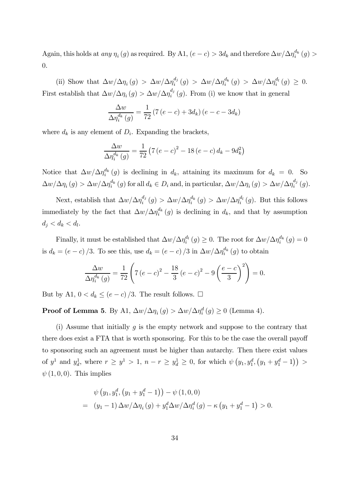Again, this holds at *any*  $\eta_i(g)$  as required. By A1,  $(e - c) > 3d_k$  and therefore  $\Delta w / \Delta \eta_i^{d_k}(g) >$ 0.

(ii) Show that  $\Delta w/\Delta \eta_i(g) > \Delta w/\Delta \eta_i^{d_j}(g) > \Delta w/\Delta \eta_i^{d_k}(g) > \Delta w/\Delta \eta_i^{d_l}(g) \geq 0.$ First establish that  $\Delta w/\Delta \eta_i(g) > \Delta w/\Delta \eta_i^{d_j}(g)$ . From (i) we know that in general

$$
\frac{\Delta w}{\Delta \eta_i^{d_k}(g)} = \frac{1}{72} \left( 7\left(e - c\right) + 3d_k\right) \left(e - c - 3d_k\right)
$$

where  $d_k$  is any element of  $D_i$ . Expanding the brackets,

$$
\frac{\Delta w}{\Delta \eta_i^{d_k}(g)} = \frac{1}{72} (7 (e - c)^2 - 18 (e - c) d_k - 9 d_k^2)
$$

Notice that  $\Delta w/\Delta \eta_i^{d_k}(g)$  is declining in  $d_k$ , attaining its maximum for  $d_k = 0$ . So  $\Delta w/\Delta \eta_i(g) > \Delta w/\Delta \eta_i^{d_k}(g)$  for all  $d_k \in D_i$  and, in particular,  $\Delta w/\Delta \eta_i(g) > \Delta w/\Delta \eta_i^{d_j}(g)$ .

Next, establish that  $\Delta w/\Delta \eta_i^{d_j}(g) > \Delta w/\Delta \eta_i^{d_k}(g) > \Delta w/\Delta \eta_i^{d_l}(g)$ . But this follows immediately by the fact that  $\Delta w/\Delta \eta_i^{d_k}(g)$  is declining in  $d_k$ , and that by assumption  $d_j < d_k < d_l$ .

Finally, it must be established that  $\Delta w/\Delta \eta_i^{d_l}(g) \geq 0$ . The root for  $\Delta w/\Delta \eta_i^{d_k}(g) = 0$ is  $d_k = (e - c)/3$ . To see this, use  $d_k = (e - c)/3$  in  $\Delta w / \Delta \eta_i^{d_k}(g)$  to obtain

$$
\frac{\Delta w}{\Delta \eta_i^{d_k}(g)} = \frac{1}{72} \left( 7 (e - c)^2 - \frac{18}{3} (e - c)^2 - 9 \left( \frac{e - c}{3} \right)^2 \right) = 0.
$$

But by A1,  $0 < d_k \le (e - c)/3$ . The result follows.  $\Box$ 

**Proof of Lemma 5.** By A1,  $\Delta w/\Delta \eta_i(g) > \Delta w/\Delta \eta_i^d(g) \ge 0$  (Lemma 4).

(i) Assume that initially g is the empty network and suppose to the contrary that there does exist a FTA that is worth sponsoring. For this to be the case the overall payoff to sponsoring such an agreement must be higher than autarchy. Then there exist values of  $y^1$  and  $y_d^1$ , where  $r \ge y^1 > 1$ ,  $n - r \ge y_d^1 \ge 0$ , for which  $\psi(y_1, y_1^d, (y_1 + y_1^d - 1)) >$  $\psi$  (1, 0, 0). This implies

$$
\psi(y_1, y_1^d, (y_1 + y_1^d - 1)) - \psi(1, 0, 0)
$$
  
=  $(y_1 - 1) \Delta w / \Delta \eta_i(g) + y_1^d \Delta w / \Delta \eta_i^d(g) - \kappa (y_1 + y_1^d - 1) > 0.$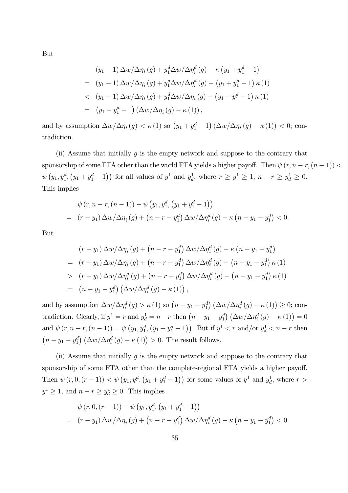But

$$
(y_1 - 1) \Delta w / \Delta \eta_i(g) + y_1^d \Delta w / \Delta \eta_i^d(g) - \kappa (y_1 + y_1^d - 1)
$$
  
=  $(y_1 - 1) \Delta w / \Delta \eta_i(g) + y_1^d \Delta w / \Delta \eta_i^d(g) - (y_1 + y_1^d - 1) \kappa (1)$   
 $< (y_1 - 1) \Delta w / \Delta \eta_i(g) + y_1^d \Delta w / \Delta \eta_i(g) - (y_1 + y_1^d - 1) \kappa (1)$   
=  $(y_1 + y_1^d - 1) (\Delta w / \Delta \eta_i(g) - \kappa (1)),$ 

and by assumption  $\Delta w/\Delta \eta_i(g) < \kappa(1)$  so  $(y_1 + y_1^d - 1)(\Delta w/\Delta \eta_i(g) - \kappa(1)) < 0$ ; contradiction.

(ii) Assume that initially  $g$  is the empty network and suppose to the contrary that sponsorship of some FTA other than the world FTA yields a higher payoff. Then  $\psi(r, n-r, (n-1))$  $\psi(y_1, y_1^d, (y_1 + y_1^d - 1))$  for all values of  $y^1$  and  $y_d^1$ , where  $r \ge y^1 \ge 1$ ,  $n - r \ge y_d^1 \ge 0$ . This implies

$$
\psi(r, n-r, (n-1)) - \psi(y_1, y_1^d, (y_1 + y_1^d - 1))
$$
  
=  $(r - y_1) \Delta w / \Delta \eta_i(g) + (n - r - y_1^d) \Delta w / \Delta \eta_i^d(g) - \kappa (n - y_1 - y_1^d) < 0.$ 

But

$$
(r - y_1) \Delta w / \Delta \eta_i(g) + (n - r - y_1^d) \Delta w / \Delta \eta_i^d(g) - \kappa (n - y_1 - y_1^d)
$$
  
= 
$$
(r - y_1) \Delta w / \Delta \eta_i(g) + (n - r - y_1^d) \Delta w / \Delta \eta_i^d(g) - (n - y_1 - y_1^d) \kappa(1)
$$
  
> 
$$
(r - y_1) \Delta w / \Delta \eta_i^d(g) + (n - r - y_1^d) \Delta w / \Delta \eta_i^d(g) - (n - y_1 - y_1^d) \kappa(1)
$$
  
= 
$$
(n - y_1 - y_1^d) (\Delta w / \Delta \eta_i^d(g) - \kappa(1)),
$$

and by assumption  $\Delta w/\Delta \eta_i^d(g) > \kappa(1)$  so  $\left(n - y_1 - y_1^d\right) \left(\Delta w/\Delta \eta_i^d(g) - \kappa(1)\right) \geq 0$ ; contradiction. Clearly, if  $y^1 = r$  and  $y_d^1 = n - r$  then  $(n - y_1 - y_1^d) (\Delta w / \Delta \eta_i^d (g) - \kappa (1)) = 0$ and  $\psi(r, n-r, (n-1)) = \psi(y_1, y_1^d, (y_1 + y_1^d - 1))$ . But if  $y^1 < r$  and/or  $y_d^1 < n-r$  then  $(n - y_1 - y_1^d) \left(\frac{\Delta w}{\Delta \eta_i^d}(g) - \kappa(1)\right) > 0$ . The result follows.

(ii) Assume that initially  $g$  is the empty network and suppose to the contrary that sponsorship of some FTA other than the complete-regional FTA yields a higher payoff. Then  $\psi(r, 0, (r - 1)) < \psi(y_1, y_1^d, (y_1 + y_1^d - 1))$  for some values of  $y^1$  and  $y_d^1$ , where  $r >$  $y^1 \ge 1$ , and  $n - r \ge y_d^1 \ge 0$ . This implies

$$
\psi(r, 0, (r-1)) - \psi(y_1, y_1^d, (y_1 + y_1^d - 1))
$$
  
=  $(r - y_1) \Delta w / \Delta \eta_i(g) + (n - r - y_1^d) \Delta w / \Delta \eta_i^d(g) - \kappa (n - y_1 - y_1^d) < 0.$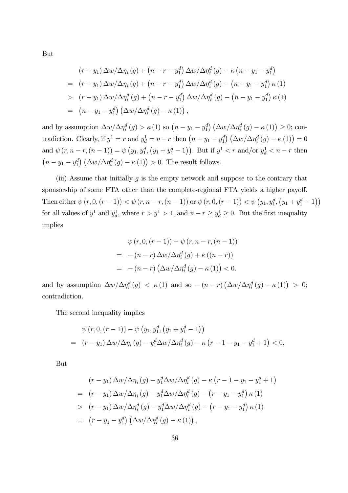But

$$
(r - y_1) \Delta w / \Delta \eta_i(g) + (n - r - y_1^d) \Delta w / \Delta \eta_i^d(g) - \kappa (n - y_1 - y_1^d)
$$
  
= 
$$
(r - y_1) \Delta w / \Delta \eta_i(g) + (n - r - y_1^d) \Delta w / \Delta \eta_i^d(g) - (n - y_1 - y_1^d) \kappa (1)
$$
  
> 
$$
(r - y_1) \Delta w / \Delta \eta_i^d(g) + (n - r - y_1^d) \Delta w / \Delta \eta_i^d(g) - (n - y_1 - y_1^d) \kappa (1)
$$
  
= 
$$
(n - y_1 - y_1^d) (\Delta w / \Delta \eta_i^d(g) - \kappa (1)),
$$

and by assumption  $\Delta w/\Delta \eta_i^d(g) > \kappa(1)$  so  $\left(n - y_1 - y_1^d\right) \left(\Delta w/\Delta \eta_i^d(g) - \kappa(1)\right) \geq 0$ ; contradiction. Clearly, if  $y^1 = r$  and  $y_d^1 = n - r$  then  $(n - y_1 - y_1^d) (\Delta w / \Delta \eta_i^d (g) - \kappa (1)) = 0$ and  $\psi(r, n-r, (n-1)) = \psi(y_1, y_1^d, (y_1 + y_1^d - 1))$ . But if  $y^1 < r$  and/or  $y_d^1 < n-r$  then  $(n - y_1 - y_1^d) \left(\frac{\Delta w}{\Delta \eta_i^d}(g) - \kappa(1)\right) > 0$ . The result follows.

(iii) Assume that initially  $g$  is the empty network and suppose to the contrary that sponsorship of some FTA other than the complete-regional FTA yields a higher payoff. Then either  $\psi(r, 0, (r - 1)) < \psi(r, n - r, (n - 1))$  or  $\psi(r, 0, (r - 1)) < \psi(y_1, y_1^d, (y_1 + y_1^d - 1))$ for all values of  $y^1$  and  $y_d^1$ , where  $r > y^1 > 1$ , and  $n - r \ge y_d^1 \ge 0$ . But the first inequality implies

$$
\psi(r, 0, (r-1)) - \psi(r, n-r, (n-1))
$$
\n
$$
= -(n-r) \Delta w / \Delta \eta_i^d(g) + \kappa ((n-r))
$$
\n
$$
= -(n-r) \left( \Delta w / \Delta \eta_i^d(g) - \kappa(1) \right) < 0.
$$

and by assumption  $\Delta w/\Delta \eta_i^d(g) < \kappa(1)$  and so  $-(n-r)\left(\Delta w/\Delta \eta_i^d(g) - \kappa(1)\right) > 0;$ contradiction.

The second inequality implies

$$
\psi(r, 0, (r-1)) - \psi(y_1, y_1^d, (y_1 + y_1^d - 1))
$$
  
=  $(r - y_1) \Delta w / \Delta \eta_i(g) - y_1^d \Delta w / \Delta \eta_i^d(g) - \kappa (r - 1 - y_1 - y_1^d + 1) < 0.$ 

But

$$
(r - y_1) \Delta w / \Delta \eta_i(g) - y_1^d \Delta w / \Delta \eta_i^d(g) - \kappa (r - 1 - y_1 - y_1^d + 1)
$$
  
= 
$$
(r - y_1) \Delta w / \Delta \eta_i(g) - y_1^d \Delta w / \Delta \eta_i^d(g) - (r - y_1 - y_1^d) \kappa (1)
$$
  
> 
$$
(r - y_1) \Delta w / \Delta \eta_i^d(g) - y_1^d \Delta w / \Delta \eta_i^d(g) - (r - y_1 - y_1^d) \kappa (1)
$$
  
= 
$$
(r - y_1 - y_1^d) (\Delta w / \Delta \eta_i^d(g) - \kappa (1)),
$$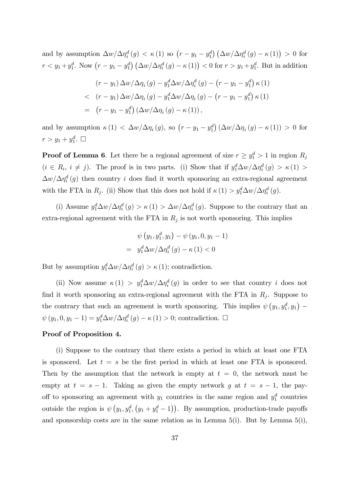and by assumption  $\Delta w/\Delta \eta_i^d(g) < \kappa(1)$  so  $(r - y_1 - y_1^d) (\Delta w/\Delta \eta_i^d(g) - \kappa(1)) > 0$  for  $r < y_1 + y_1^d$ . Now  $(r - y_1 - y_1^d) (\Delta w / \Delta \eta_i^d(g) - \kappa(1)) < 0$  for  $r > y_1 + y_1^d$ . But in addition

$$
(r - y_1) \Delta w / \Delta \eta_i(g) - y_1^d \Delta w / \Delta \eta_i^d(g) - (r - y_1 - y_1^d) \kappa(1)
$$
  

$$
\langle (r - y_1) \Delta w / \Delta \eta_i(g) - y_1^d \Delta w / \Delta \eta_i(g) - (r - y_1 - y_1^d) \kappa(1)
$$
  

$$
= (r - y_1 - y_1^d) (\Delta w / \Delta \eta_i(g) - \kappa(1)),
$$

and by assumption  $\kappa(1) < \Delta w/\Delta \eta_i(g)$ , so  $(r - y_1 - y_1^d) (\Delta w/\Delta \eta_i(g) - \kappa(1)) > 0$  for  $r > y_1 + y_1^d$ .  $\Box$ 

**Proof of Lemma 6**. Let there be a regional agreement of size  $r \geq y_1^d > 1$  in region  $R_j$  $(i \in R_i, i \neq j)$ . The proof is in two parts. (i) Show that if  $y_1^d \Delta w / \Delta \eta_i^d(g) > \kappa(1) >$  $\Delta w/\Delta \eta_i^d(g)$  then country i does find it worth sponsoring an extra-regional agreement with the FTA in  $R_j$ . (ii) Show that this does not hold if  $\kappa(1) > y_1^d \Delta w / \Delta \eta_i^d(g)$ .

(i) Assume  $y_1^d \Delta w / \Delta \eta_i^d(g) > \kappa(1) > \Delta w / \Delta \eta_i^d(g)$ . Suppose to the contrary that an extra-regional agreement with the FTA in  $R_j$  is not worth sponsoring. This implies

$$
\psi(y_1, y_1^d, y_1) - \psi(y_1, 0, y_1 - 1) \n= y_1^d \Delta w / \Delta \eta_i^d(g) - \kappa(1) < 0
$$

But by assumption  $y_1^d \Delta w / \Delta \eta_i^d(g) > \kappa(1)$ ; contradiction.

(ii) Now assume  $\kappa(1) > y_1^d \Delta w / \Delta \eta_i^d(g)$  in order to see that country *i* does not find it worth sponsoring an extra-regional agreement with the FTA in  $R_j$ . Suppose to the contrary that such an agreement is worth sponsoring. This implies  $\psi(y_1, y_1^d, y_1)$  –  $\psi(y_1, 0, y_1 - 1) = y_1^d \Delta w / \Delta \eta_i^d(g) - \kappa(1) > 0$ ; contradiction.  $\Box$ 

### Proof of Proposition 4.

(i) Suppose to the contrary that there exists a period in which at least one FTA is sponsored. Let  $t = s$  be the first period in which at least one FTA is sponsored. Then by the assumption that the network is empty at  $t = 0$ , the network must be empty at  $t = s - 1$ . Taking as given the empty network g at  $t = s - 1$ , the payoff to sponsoring an agreement with  $y_1$  countries in the same region and  $y_1^d$  countries outside the region is  $\psi(y_1, y_1^d, (y_1 + y_1^d - 1))$ . By assumption, production-trade payoffs and sponsorship costs are in the same relation as in Lemma  $5(i)$ . But by Lemma  $5(i)$ ,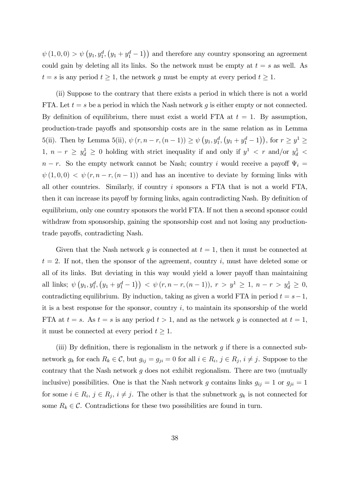$\psi(1,0,0) > \psi(y_1, y_1^d, (y_1 + y_1^d - 1))$  and therefore any country sponsoring an agreement could gain by deleting all its links. So the network must be empty at  $t = s$  as well. As  $t = s$  is any period  $t \geq 1$ , the network g must be empty at every period  $t \geq 1$ .

(ii) Suppose to the contrary that there exists a period in which there is not a world FTA. Let  $t = s$  be a period in which the Nash network g is either empty or not connected. By definition of equilibrium, there must exist a world FTA at  $t = 1$ . By assumption, production-trade payo¤s and sponsorship costs are in the same relation as in Lemma 5(ii). Then by Lemma 5(ii),  $\psi(r, n-r, (n-1)) \ge \psi(y_1, y_1^d, (y_1 + y_1^d - 1))$ , for  $r \ge y^1 \ge$ 1,  $n - r \geq y_d^1 \geq 0$  holding with strict inequality if and only if  $y^1 < r$  and/or  $y_d^1 <$  $n - r$ . So the empty network cannot be Nash; country i would receive a payoff  $\Psi_i =$  $\psi(1, 0, 0) < \psi(r, n-r, (n-1))$  and has an incentive to deviate by forming links with all other countries. Similarly, if country i sponsors a FTA that is not a world FTA, then it can increase its payoff by forming links, again contradicting Nash. By definition of equilibrium, only one country sponsors the world FTA. If not then a second sponsor could withdraw from sponsorship, gaining the sponsorship cost and not losing any productiontrade payoffs, contradicting Nash.

Given that the Nash network g is connected at  $t = 1$ , then it must be connected at  $t = 2$ . If not, then the sponsor of the agreement, country i, must have deleted some or all of its links. But deviating in this way would yield a lower payoff than maintaining all links;  $\psi(y_1, y_1^d, (y_1 + y_1^d - 1)) < \psi(r, n - r, (n - 1)), r > y^1 \ge 1, n - r > y_d^1 \ge 0$ , contradicting equilibrium. By induction, taking as given a world FTA in period  $t = s - 1$ , it is a best response for the sponsor, country  $i$ , to maintain its sponsorship of the world FTA at  $t = s$ . As  $t = s$  is any period  $t > 1$ , and as the network g is connected at  $t = 1$ , it must be connected at every period  $t \geq 1$ .

(iii) By definition, there is regionalism in the network  $g$  if there is a connected subnetwork  $g_k$  for each  $R_k \in \mathcal{C}$ , but  $g_{ij} = g_{ji} = 0$  for all  $i \in R_i$ ,  $j \in R_j$ ,  $i \neq j$ . Suppose to the contrary that the Nash network  $g$  does not exhibit regionalism. There are two (mutually inclusive) possibilities. One is that the Nash network g contains links  $g_{ij} = 1$  or  $g_{ji} = 1$ for some  $i \in R_i$ ,  $j \in R_j$ ,  $i \neq j$ . The other is that the subnetwork  $g_k$  is not connected for some  $R_k \in \mathcal{C}$ . Contradictions for these two possibilities are found in turn.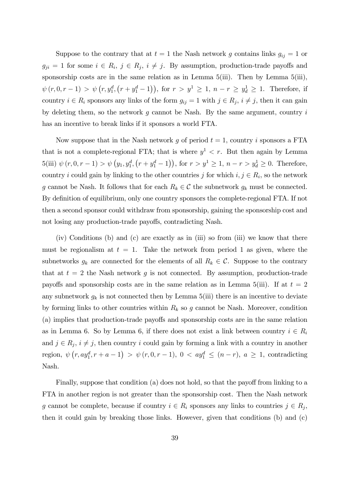Suppose to the contrary that at  $t = 1$  the Nash network g contains links  $g_{ij} = 1$  or  $g_{ji} = 1$  for some  $i \in R_i$ ,  $j \in R_j$ ,  $i \neq j$ . By assumption, production-trade payoffs and sponsorship costs are in the same relation as in Lemma  $5(iii)$ . Then by Lemma  $5(iii)$ ,  $\psi(r, 0, r-1) > \psi(r, y_1^d, (r+y_1^d-1)),$  for  $r > y^1 \ge 1$ ,  $n-r \ge y_d^1 \ge 1$ . Therefore, if country  $i \in R_i$  sponsors any links of the form  $g_{ij} = 1$  with  $j \in R_j$ ,  $i \neq j$ , then it can gain by deleting them, so the network  $g$  cannot be Nash. By the same argument, country  $i$ has an incentive to break links if it sponsors a world FTA.

Now suppose that in the Nash network q of period  $t = 1$ , country i sponsors a FTA that is not a complete-regional FTA; that is where  $y^1 < r$ . But then again by Lemma  $5(iii) \psi(r, 0, r - 1) > \psi(y_1, y_1^d, (r + y_1^d - 1)),$  for  $r > y^1 \ge 1$ ,  $n - r > y_d^1 \ge 0$ . Therefore, country i could gain by linking to the other countries j for which  $i, j \in R_i$ , so the network g cannot be Nash. It follows that for each  $R_k \in \mathcal{C}$  the subnetwork  $g_k$  must be connected. By definition of equilibrium, only one country sponsors the complete-regional FTA. If not then a second sponsor could withdraw from sponsorship, gaining the sponsorship cost and not losing any production-trade payoffs, contradicting Nash.

(iv) Conditions (b) and (c) are exactly as in (iii) so from (iii) we know that there must be regionalism at  $t = 1$ . Take the network from period 1 as given, where the subnetworks  $g_k$  are connected for the elements of all  $R_k \in \mathcal{C}$ . Suppose to the contrary that at  $t = 2$  the Nash network q is not connected. By assumption, production-trade payoffs and sponsorship costs are in the same relation as in Lemma 5(iii). If at  $t = 2$ any subnetwork  $g_k$  is not connected then by Lemma 5(iii) there is an incentive to deviate by forming links to other countries within  $R_k$  so g cannot be Nash. Moreover, condition (a) implies that production-trade payoffs and sponsorship costs are in the same relation as in Lemma 6. So by Lemma 6, if there does not exist a link between country  $i \in R_i$ and  $j \in R_i$ ,  $i \neq j$ , then country i could gain by forming a link with a country in another region,  $\psi(r, ay_1^d, r + a - 1) > \psi(r, 0, r - 1), 0 < ay_1^d \leq (n - r), a \geq 1$ , contradicting Nash.

Finally, suppose that condition (a) does not hold, so that the payoff from linking to a FTA in another region is not greater than the sponsorship cost. Then the Nash network g cannot be complete, because if country  $i \in R_i$  sponsors any links to countries  $j \in R_j$ , then it could gain by breaking those links. However, given that conditions (b) and (c)